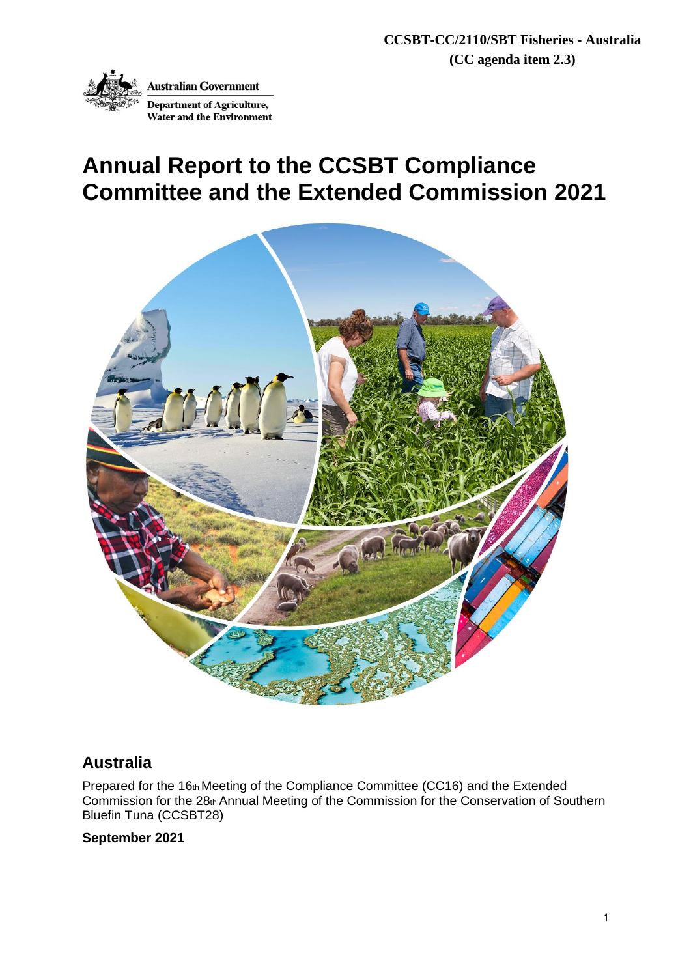

# **Annual Report to the CCSBT Compliance Committee and the Extended Commission 2021**



# **Australia**

Prepared for the 16th Meeting of the Compliance Committee (CC16) and the Extended Commission for the 28th Annual Meeting of the Commission for the Conservation of Southern Bluefin Tuna (CCSBT28)

## **September 2021**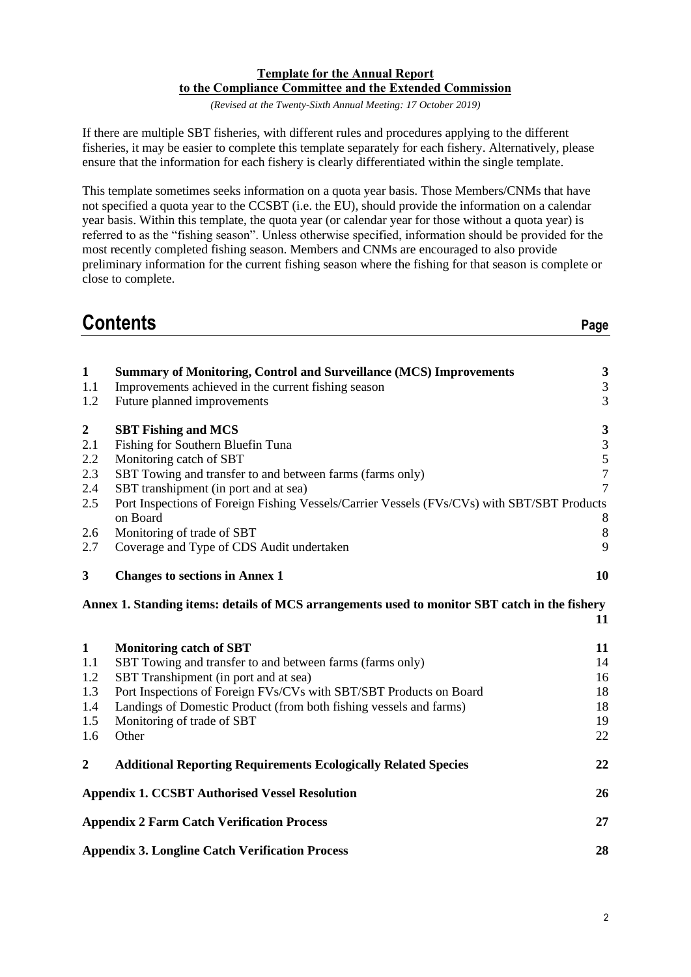#### **Template for the Annual Report to the Compliance Committee and the Extended Commission**

*(Revised at the Twenty-Sixth Annual Meeting: 17 October 2019)*

If there are multiple SBT fisheries, with different rules and procedures applying to the different fisheries, it may be easier to complete this template separately for each fishery. Alternatively, please ensure that the information for each fishery is clearly differentiated within the single template.

This template sometimes seeks information on a quota year basis. Those Members/CNMs that have not specified a quota year to the CCSBT (i.e. the EU), should provide the information on a calendar year basis. Within this template, the quota year (or calendar year for those without a quota year) is referred to as the "fishing season". Unless otherwise specified, information should be provided for the most recently completed fishing season. Members and CNMs are encouraged to also provide preliminary information for the current fishing season where the fishing for that season is complete or close to complete.

# **Contents Page**

| $\mathbf{1}$     | <b>Summary of Monitoring, Control and Surveillance (MCS) Improvements</b>                     | $\mathbf{3}$                |
|------------------|-----------------------------------------------------------------------------------------------|-----------------------------|
| 1.1              | Improvements achieved in the current fishing season                                           | $\ensuremath{\mathfrak{Z}}$ |
| 1.2              | Future planned improvements                                                                   | $\overline{3}$              |
| $\boldsymbol{2}$ | <b>SBT Fishing and MCS</b>                                                                    | $\mathbf{3}$                |
| 2.1              | Fishing for Southern Bluefin Tuna                                                             | $\ensuremath{\mathfrak{Z}}$ |
| 2.2              | Monitoring catch of SBT                                                                       |                             |
| $2.3\,$          | SBT Towing and transfer to and between farms (farms only)                                     | $\frac{5}{7}$               |
| 2.4              | SBT transhipment (in port and at sea)                                                         | $\overline{7}$              |
| 2.5              | Port Inspections of Foreign Fishing Vessels/Carrier Vessels (FVs/CVs) with SBT/SBT Products   |                             |
|                  | on Board                                                                                      | $\,8\,$                     |
| 2.6              | Monitoring of trade of SBT                                                                    | $\,8\,$                     |
| 2.7              | Coverage and Type of CDS Audit undertaken                                                     | 9                           |
| 3                | <b>Changes to sections in Annex 1</b>                                                         | 10                          |
|                  | Annex 1. Standing items: details of MCS arrangements used to monitor SBT catch in the fishery |                             |
|                  |                                                                                               | 11                          |
| $\mathbf{1}$     | <b>Monitoring catch of SBT</b>                                                                | 11                          |
| 1.1              | SBT Towing and transfer to and between farms (farms only)                                     | 14                          |
| 1.2              | SBT Transhipment (in port and at sea)                                                         | 16                          |
| 1.3              | Port Inspections of Foreign FVs/CVs with SBT/SBT Products on Board                            | 18                          |
| 1.4              | Landings of Domestic Product (from both fishing vessels and farms)                            | 18                          |
| 1.5              | Monitoring of trade of SBT                                                                    | 19                          |
| 1.6              | Other                                                                                         | 22                          |
| $\boldsymbol{2}$ | <b>Additional Reporting Requirements Ecologically Related Species</b>                         | 22                          |
|                  | <b>Appendix 1. CCSBT Authorised Vessel Resolution</b>                                         | 26                          |
|                  | <b>Appendix 2 Farm Catch Verification Process</b>                                             | 27                          |
|                  | <b>Appendix 3. Longline Catch Verification Process</b>                                        | 28                          |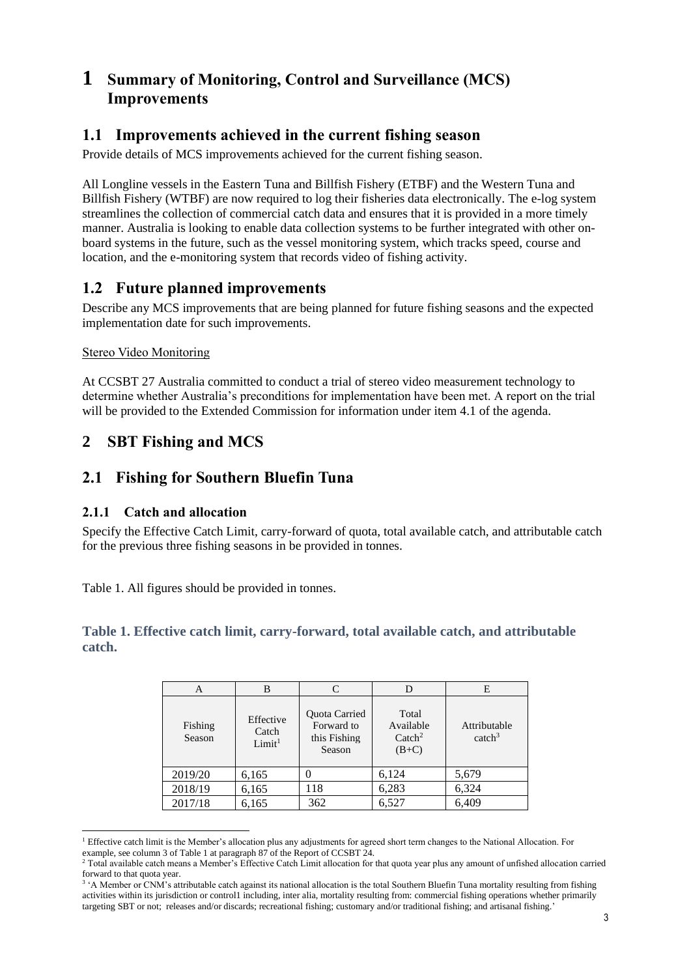# **1 Summary of Monitoring, Control and Surveillance (MCS) Improvements**

# **1.1 Improvements achieved in the current fishing season**

Provide details of MCS improvements achieved for the current fishing season.

All Longline vessels in the Eastern Tuna and Billfish Fishery (ETBF) and the Western Tuna and Billfish Fishery (WTBF) are now required to log their fisheries data electronically. The e-log system streamlines the collection of commercial catch data and ensures that it is provided in a more timely manner. Australia is looking to enable data collection systems to be further integrated with other onboard systems in the future, such as the vessel monitoring system, which tracks speed, course and location, and the e-monitoring system that records video of fishing activity.

# **1.2 Future planned improvements**

Describe any MCS improvements that are being planned for future fishing seasons and the expected implementation date for such improvements.

#### Stereo Video Monitoring

At CCSBT 27 Australia committed to conduct a trial of stereo video measurement technology to determine whether Australia's preconditions for implementation have been met. A report on the trial will be provided to the Extended Commission for information under item 4.1 of the agenda.

# **2 SBT Fishing and MCS**

# **2.1 Fishing for Southern Bluefin Tuna**

#### **2.1.1 Catch and allocation**

Specify the Effective Catch Limit, carry-forward of quota, total available catch, and attributable catch for the previous three fishing seasons in [be provided](#page-2-0) in tonnes.

[Table 1.](#page-2-0) All figures should be provided in tonnes.

### **Table 1. Effective catch limit, carry-forward, total available catch, and attributable catch.**

<span id="page-2-0"></span>

| A                 |                                          |                                                       | D                                                 | E                                  |
|-------------------|------------------------------------------|-------------------------------------------------------|---------------------------------------------------|------------------------------------|
| Fishing<br>Season | Effective<br>Catch<br>Limit <sup>1</sup> | Quota Carried<br>Forward to<br>this Fishing<br>Season | Total<br>Available<br>$\text{Catch}^2$<br>$(B+C)$ | Attributable<br>catch <sup>3</sup> |
| 2019/20           | 6,165                                    |                                                       | 6,124                                             | 5,679                              |
| 2018/19           | 6,165                                    | 118                                                   | 6,283                                             | 6,324                              |
| 2017/18           | 6,165                                    | 362                                                   | 6,527                                             | 6,409                              |

<sup>1</sup> Effective catch limit is the Member's allocation plus any adjustments for agreed short term changes to the National Allocation. For example, see column 3 of Table 1 at paragraph 87 of the Report of CCSBT 24.

<sup>&</sup>lt;sup>2</sup> Total available catch means a Member's Effective Catch Limit allocation for that quota year plus any amount of unfished allocation carried forward to that quota year.

<sup>&</sup>lt;sup>3</sup> 'A Member or CNM's attributable catch against its national allocation is the total Southern Bluefin Tuna mortality resulting from fishing activities within its jurisdiction or control1 including, inter alia, mortality resulting from: commercial fishing operations whether primarily targeting SBT or not; releases and/or discards; recreational fishing; customary and/or traditional fishing; and artisanal fishing.'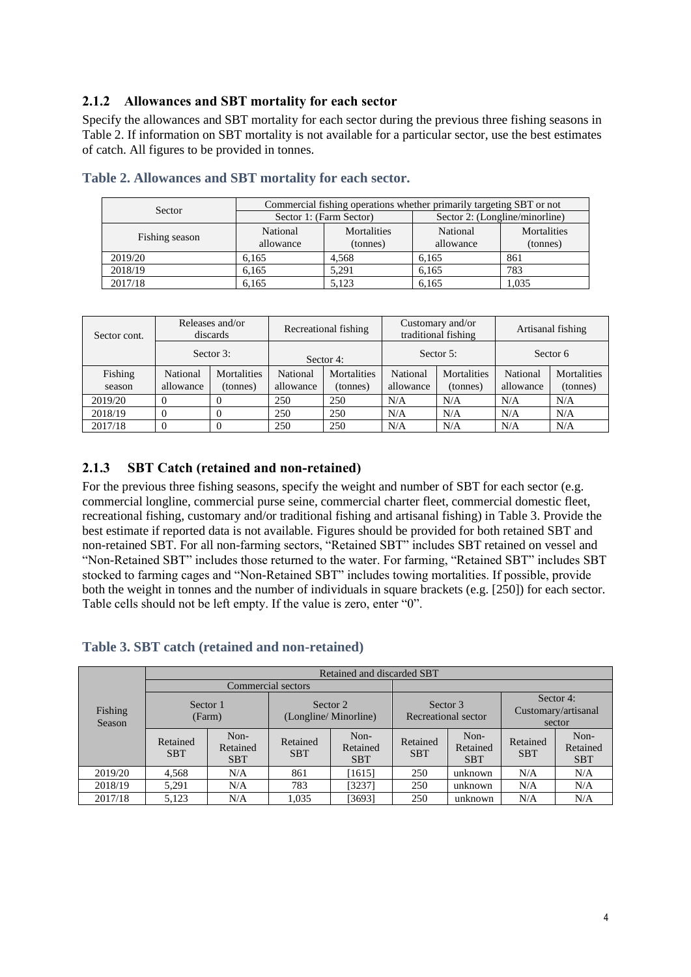### **2.1.2 Allowances and SBT mortality for each sector**

Specify the allowances and SBT mortality for each sector during the previous three fishing seasons in [Table 2.](#page-3-0) If information on SBT mortality is not available for a particular sector, use the best estimates of catch. All figures to be provided in tonnes.

| Sector         | Commercial fishing operations whether primarily targeting SBT or not |                         |                                |                         |  |  |
|----------------|----------------------------------------------------------------------|-------------------------|--------------------------------|-------------------------|--|--|
|                |                                                                      | Sector 1: (Farm Sector) | Sector 2: (Longline/minorline) |                         |  |  |
| Fishing season | National<br>allowance                                                | Mortalities<br>(tonnes) | National<br>allowance          | Mortalities<br>(tonnes) |  |  |
| 2019/20        | 6.165                                                                | 4.568                   | 6.165                          | 861                     |  |  |
| 2018/19        | 6.165                                                                | 5,291                   | 6.165                          | 783                     |  |  |
| 2017/18        | 6.165                                                                | 5.123                   | 6.165                          | 1.035                   |  |  |

<span id="page-3-0"></span>

| Table 2. Allowances and SBT mortality for each sector. |  |  |
|--------------------------------------------------------|--|--|
|--------------------------------------------------------|--|--|

| Sector cont.      | Releases and/or<br>discards<br>Sector 3: |                         | Recreational fishing  |                                | Customary and/or<br>traditional fishing |                                | Artisanal fishing     |                                |
|-------------------|------------------------------------------|-------------------------|-----------------------|--------------------------------|-----------------------------------------|--------------------------------|-----------------------|--------------------------------|
|                   |                                          |                         | Sector 4:             |                                | Sector 5:                               |                                | Sector <sub>6</sub>   |                                |
| Fishing<br>season | National<br>allowance                    | Mortalities<br>(tonnes) | National<br>allowance | <b>Mortalities</b><br>(tonnes) | National<br>allowance                   | <b>Mortalities</b><br>(tonnes) | National<br>allowance | <b>Mortalities</b><br>(tonnes) |
| 2019/20           | $\Omega$                                 |                         | 250                   | 250                            | N/A                                     | N/A                            | N/A                   | N/A                            |
| 2018/19           | $\Omega$                                 |                         | 250                   | 250                            | N/A                                     | N/A                            | N/A                   | N/A                            |
| 2017/18           | $\theta$                                 |                         | 250                   | 250                            | N/A                                     | N/A                            | N/A                   | N/A                            |

### **2.1.3 SBT Catch (retained and non-retained)**

For the previous three fishing seasons, specify the weight and number of SBT for each sector (e.g. commercial longline, commercial purse seine, commercial charter fleet, commercial domestic fleet, recreational fishing, customary and/or traditional fishing and artisanal fishing) in Table 3. Provide the best estimate if reported data is not available. Figures should be provided for both retained SBT and non-retained SBT. For all non-farming sectors, "Retained SBT" includes SBT retained on vessel and "Non-Retained SBT" includes those returned to the water. For farming, "Retained SBT" includes SBT stocked to farming cages and "Non-Retained SBT" includes towing mortalities. If possible, provide both the weight in tonnes and the number of individuals in square brackets (e.g. [250]) for each sector. Table cells should not be left empty. If the value is zero, enter "0".

| Table 3. SBT catch (retained and non-retained) |  |  |  |
|------------------------------------------------|--|--|--|
|------------------------------------------------|--|--|--|

|                   |                        |                                |                                                                     | Retained and discarded SBT     |                                            |                                |                        |                                |
|-------------------|------------------------|--------------------------------|---------------------------------------------------------------------|--------------------------------|--------------------------------------------|--------------------------------|------------------------|--------------------------------|
|                   |                        |                                |                                                                     |                                |                                            |                                |                        |                                |
| Fishing<br>Season | Sector 1               | (Farm)                         | Sector 2<br>Sector 3<br>(Longline/Minorline)<br>Recreational sector |                                | Sector 4:<br>Customary/artisanal<br>sector |                                |                        |                                |
|                   | Retained<br><b>SBT</b> | Non-<br>Retained<br><b>SBT</b> | Retained<br><b>SBT</b>                                              | Non-<br>Retained<br><b>SBT</b> | Retained<br><b>SBT</b>                     | Non-<br>Retained<br><b>SBT</b> | Retained<br><b>SBT</b> | Non-<br>Retained<br><b>SBT</b> |
| 2019/20           | 4,568                  | N/A                            | 861                                                                 | [1615]                         | 250                                        | unknown                        | N/A                    | N/A                            |
| 2018/19           | 5,291                  | N/A                            | 783                                                                 | [3237]                         | 250                                        | unknown                        | N/A                    | N/A                            |
| 2017/18           | 5.123                  | N/A                            | 1,035                                                               | [3693]                         | 250                                        | unknown                        | N/A                    | N/A                            |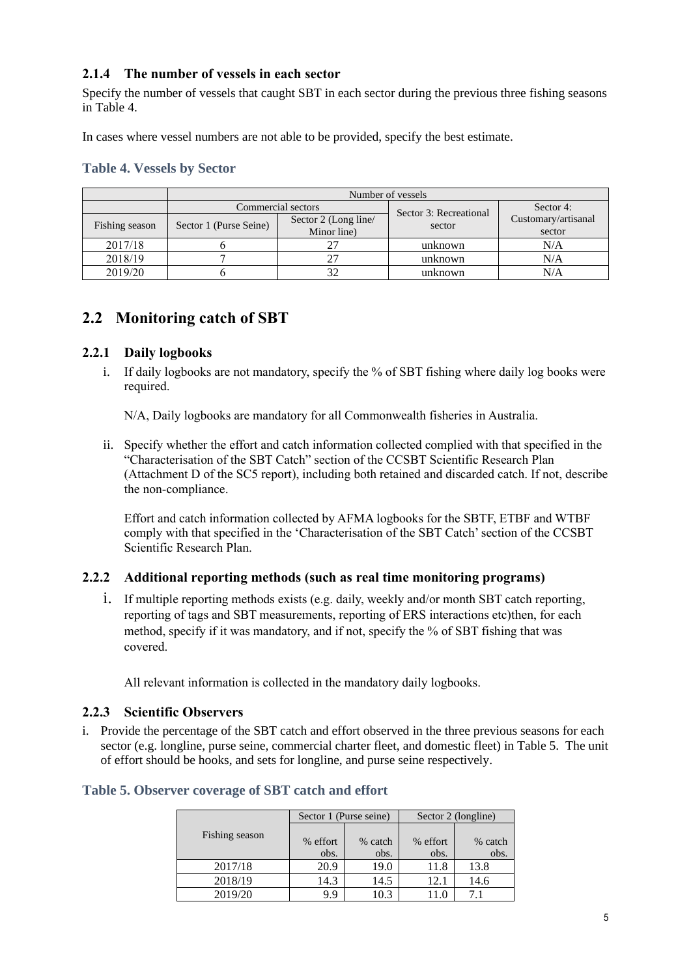### **2.1.4 The number of vessels in each sector**

Specify the number of vessels that caught SBT in each sector during the previous three fishing seasons in Table 4.

In cases where vessel numbers are not able to be provided, specify the best estimate.

|                |                        | Commercial sectors                  | Sector 3: Recreational | Sector 4:                     |
|----------------|------------------------|-------------------------------------|------------------------|-------------------------------|
| Fishing season | Sector 1 (Purse Seine) | Sector 2 (Long line/<br>Minor line) | sector                 | Customary/artisanal<br>sector |
| 2017/18        |                        |                                     | unknown                | N/A                           |
| 2018/19        |                        | 27                                  | unknown                | N/A                           |
| 2019/20        |                        | 32                                  | unknown                | N/A                           |

#### **Table 4. Vessels by Sector**

# **2.2 Monitoring catch of SBT**

### **2.2.1 Daily logbooks**

i. If daily logbooks are not mandatory, specify the % of SBT fishing where daily log books were required.

N/A, Daily logbooks are mandatory for all Commonwealth fisheries in Australia.

ii. Specify whether the effort and catch information collected complied with that specified in the "Characterisation of the SBT Catch" section of the CCSBT Scientific Research Plan (Attachment D of the SC5 report), including both retained and discarded catch. If not, describe the non-compliance.

Effort and catch information collected by AFMA logbooks for the SBTF, ETBF and WTBF comply with that specified in the 'Characterisation of the SBT Catch' section of the CCSBT Scientific Research Plan.

#### **2.2.2 Additional reporting methods (such as real time monitoring programs)**

i. If multiple reporting methods exists (e.g. daily, weekly and/or month SBT catch reporting, reporting of tags and SBT measurements, reporting of ERS interactions etc)then, for each method, specify if it was mandatory, and if not, specify the % of SBT fishing that was covered.

All relevant information is collected in the mandatory daily logbooks.

#### **2.2.3 Scientific Observers**

i. Provide the percentage of the SBT catch and effort observed in the three previous seasons for each sector (e.g. longline, purse seine, commercial charter fleet, and domestic fleet) i[n Table 5.](#page-4-0) The unit of effort should be hooks, and sets for longline, and purse seine respectively.

|                |                  | Sector 1 (Purse seine) | Sector 2 (longline) |                 |  |
|----------------|------------------|------------------------|---------------------|-----------------|--|
| Fishing season | % effort<br>obs. | % catch<br>obs.        | % effort<br>obs.    | % catch<br>obs. |  |
| 2017/18        | 20.9             | 19.0                   | 11.8                | 13.8            |  |
| 2018/19        | 14.3             | 14.5                   | 12.1                | 14.6            |  |
| 2019/20        | 9.9              | 10.3                   |                     |                 |  |

#### <span id="page-4-0"></span>**Table 5. Observer coverage of SBT catch and effort**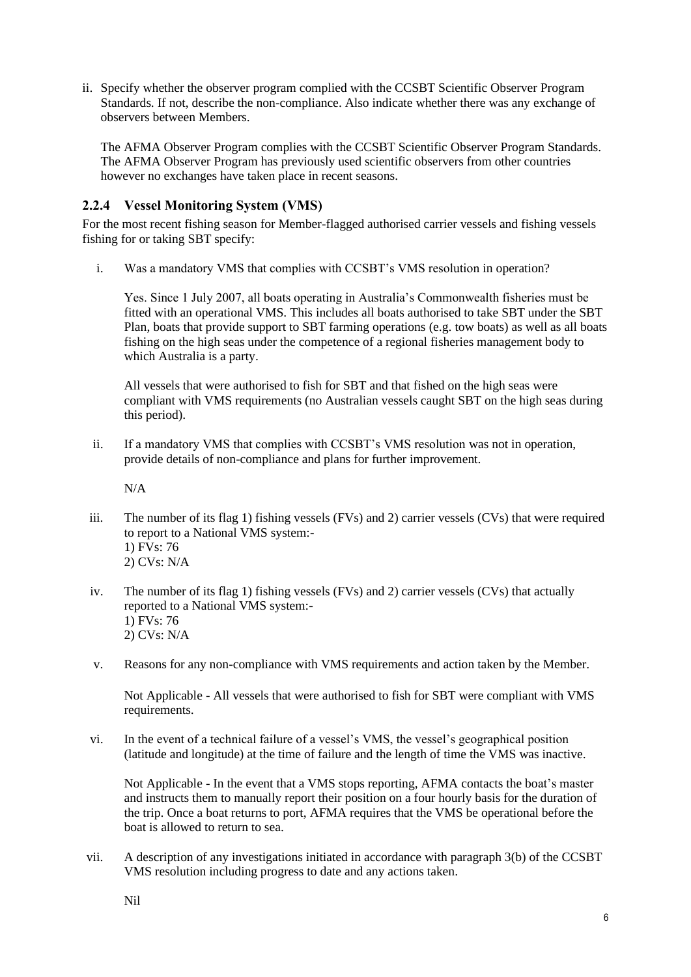ii. Specify whether the observer program complied with the CCSBT Scientific Observer Program Standards. If not, describe the non-compliance. Also indicate whether there was any exchange of observers between Members.

The AFMA Observer Program complies with the CCSBT Scientific Observer Program Standards. The AFMA Observer Program has previously used scientific observers from other countries however no exchanges have taken place in recent seasons.

### **2.2.4 Vessel Monitoring System (VMS)**

For the most recent fishing season for Member-flagged authorised carrier vessels and fishing vessels fishing for or taking SBT specify:

i. Was a mandatory VMS that complies with CCSBT's VMS resolution in operation?

Yes. Since 1 July 2007, all boats operating in Australia's Commonwealth fisheries must be fitted with an operational VMS. This includes all boats authorised to take SBT under the SBT Plan, boats that provide support to SBT farming operations (e.g. tow boats) as well as all boats fishing on the high seas under the competence of a regional fisheries management body to which Australia is a party.

All vessels that were authorised to fish for SBT and that fished on the high seas were compliant with VMS requirements (no Australian vessels caught SBT on the high seas during this period).

ii. If a mandatory VMS that complies with CCSBT's VMS resolution was not in operation, provide details of non-compliance and plans for further improvement.

N/A

- iii. The number of its flag 1) fishing vessels (FVs) and 2) carrier vessels (CVs) that were required to report to a National VMS system:- 1) FVs: 76 2) CVs: N/A
- iv. The number of its flag 1) fishing vessels (FVs) and 2) carrier vessels (CVs) that actually reported to a National VMS system:- 1) FVs: 76 2) CVs: N/A
- v. Reasons for any non-compliance with VMS requirements and action taken by the Member.

Not Applicable - All vessels that were authorised to fish for SBT were compliant with VMS requirements.

vi. In the event of a technical failure of a vessel's VMS, the vessel's geographical position (latitude and longitude) at the time of failure and the length of time the VMS was inactive.

Not Applicable - In the event that a VMS stops reporting, AFMA contacts the boat's master and instructs them to manually report their position on a four hourly basis for the duration of the trip. Once a boat returns to port, AFMA requires that the VMS be operational before the boat is allowed to return to sea.

vii. A description of any investigations initiated in accordance with paragraph 3(b) of the CCSBT VMS resolution including progress to date and any actions taken.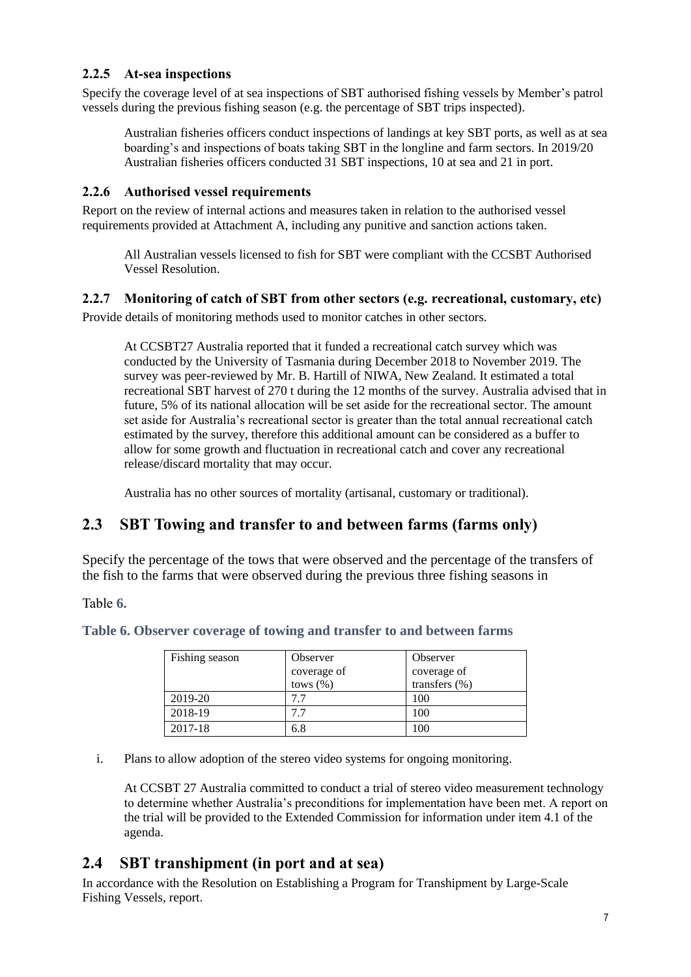### **2.2.5 At-sea inspections**

Specify the coverage level of at sea inspections of SBT authorised fishing vessels by Member's patrol vessels during the previous fishing season (e.g. the percentage of SBT trips inspected).

Australian fisheries officers conduct inspections of landings at key SBT ports, as well as at sea boarding's and inspections of boats taking SBT in the longline and farm sectors. In 2019/20 Australian fisheries officers conducted 31 SBT inspections, 10 at sea and 21 in port.

#### **2.2.6 Authorised vessel requirements**

Report on the review of internal actions and measures taken in relation to the authorised vessel requirements provided at Attachment A, including any punitive and sanction actions taken.

All Australian vessels licensed to fish for SBT were compliant with the CCSBT Authorised Vessel Resolution.

#### **2.2.7 Monitoring of catch of SBT from other sectors (e.g. recreational, customary, etc)**

Provide details of monitoring methods used to monitor catches in other sectors.

At CCSBT27 Australia reported that it funded a recreational catch survey which was conducted by the University of Tasmania during December 2018 to November 2019. The survey was peer-reviewed by Mr. B. Hartill of NIWA, New Zealand. It estimated a total recreational SBT harvest of 270 t during the 12 months of the survey. Australia advised that in future, 5% of its national allocation will be set aside for the recreational sector. The amount set aside for Australia's recreational sector is greater than the total annual recreational catch estimated by the survey, therefore this additional amount can be considered as a buffer to allow for some growth and fluctuation in recreational catch and cover any recreational release/discard mortality that may occur.

Australia has no other sources of mortality (artisanal, customary or traditional).

## **2.3 SBT Towing and transfer to and between farms (farms only)**

Specify the percentage of the tows that were observed and the percentage of the transfers of the fish to the farms that were observed during the previous three fishing seasons in

<span id="page-6-0"></span>[Table](#page-6-0) **6.**

| Fishing season | Observer     | Observer          |
|----------------|--------------|-------------------|
|                | coverage of  | coverage of       |
|                | tows $(\% )$ | transfers $(\% )$ |
| 2019-20        | 7.7          | 100               |
| 2018-19        | 77           | 100               |
| 2017-18        | 6.8          | 100               |

i. Plans to allow adoption of the stereo video systems for ongoing monitoring.

At CCSBT 27 Australia committed to conduct a trial of stereo video measurement technology to determine whether Australia's preconditions for implementation have been met. A report on the trial will be provided to the Extended Commission for information under item 4.1 of the agenda.

# **2.4 SBT transhipment (in port and at sea)**

In accordance with the Resolution on Establishing a Program for Transhipment by Large-Scale Fishing Vessels, report.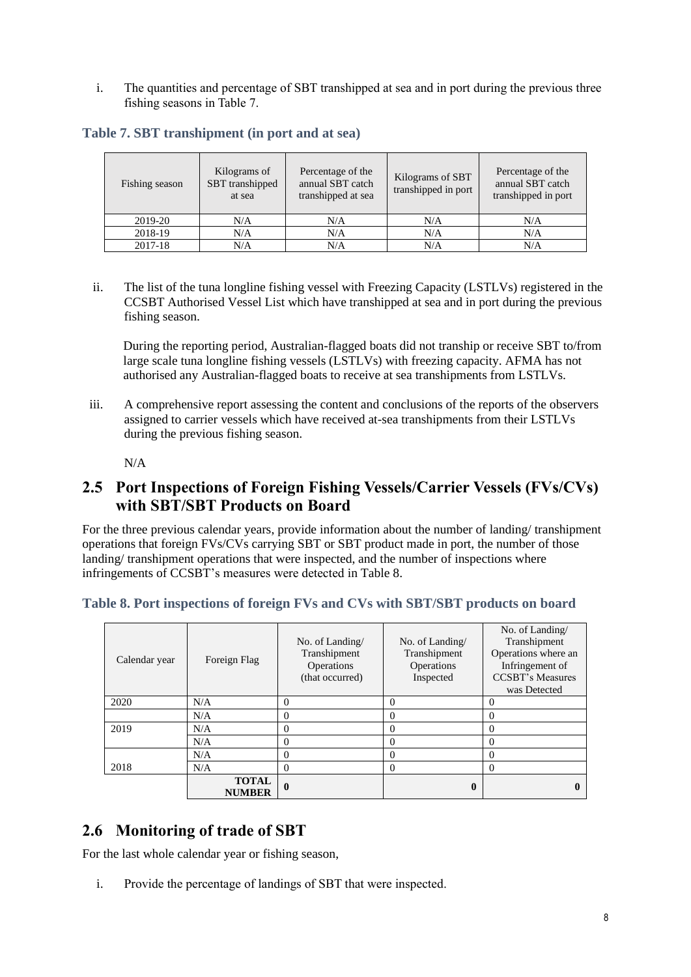i. The quantities and percentage of SBT transhipped at sea and in port during the previous three fishing seasons i[n Table 7.](#page-7-0)

<span id="page-7-0"></span>**Table 7. SBT transhipment (in port and at sea)**

| Fishing season | Kilograms of<br>SBT transhipped<br>at sea | Percentage of the<br>annual SBT catch<br>transhipped at sea | Kilograms of SBT<br>transhipped in port | Percentage of the<br>annual SBT catch<br>transhipped in port |
|----------------|-------------------------------------------|-------------------------------------------------------------|-----------------------------------------|--------------------------------------------------------------|
| 2019-20        | N/A                                       | N/A                                                         | N/A                                     | N/A                                                          |
| 2018-19        | N/A                                       | N/A                                                         | N/A                                     | N/A                                                          |
| 2017-18        | N/A                                       | N/A                                                         | N/A                                     | N/A                                                          |

ii. The list of the tuna longline fishing vessel with Freezing Capacity (LSTLVs) registered in the CCSBT Authorised Vessel List which have transhipped at sea and in port during the previous fishing season.

During the reporting period, Australian-flagged boats did not tranship or receive SBT to/from large scale tuna longline fishing vessels (LSTLVs) with freezing capacity. AFMA has not authorised any Australian-flagged boats to receive at sea transhipments from LSTLVs.

iii. A comprehensive report assessing the content and conclusions of the reports of the observers assigned to carrier vessels which have received at-sea transhipments from their LSTLVs during the previous fishing season.

N/A

# **2.5 Port Inspections of Foreign Fishing Vessels/Carrier Vessels (FVs/CVs) with SBT/SBT Products on Board**

For the three previous calendar years, provide information about the number of landing/ transhipment operations that foreign FVs/CVs carrying SBT or SBT product made in port, the number of those landing/ transhipment operations that were inspected, and the number of inspections where infringements of CCSBT's measures were detected i[n Table 8.](#page-7-1)

<span id="page-7-1"></span>

|  | Table 8. Port inspections of foreign FVs and CVs with SBT/SBT products on board |  |  |  |  |  |  |
|--|---------------------------------------------------------------------------------|--|--|--|--|--|--|
|--|---------------------------------------------------------------------------------|--|--|--|--|--|--|

| Calendar year | Foreign Flag                  | No. of Landing/<br>Transhipment<br>Operations<br>(that occurred) | No. of Landing/<br>Transhipment<br>Operations<br>Inspected | No. of Landing/<br>Transhipment<br>Operations where an<br>Infringement of<br><b>CCSBT's Measures</b> |
|---------------|-------------------------------|------------------------------------------------------------------|------------------------------------------------------------|------------------------------------------------------------------------------------------------------|
| 2020          | N/A                           | $\Omega$                                                         | $\Omega$                                                   | was Detected<br>0                                                                                    |
|               | N/A                           | $\Omega$                                                         | $\Omega$                                                   | 0                                                                                                    |
| 2019          | N/A                           | $\Omega$                                                         | $\Omega$                                                   | 0                                                                                                    |
|               | N/A                           | $\Omega$                                                         | $\Omega$                                                   | 0                                                                                                    |
|               | N/A                           | $\Omega$                                                         | $\Omega$                                                   | 0                                                                                                    |
| 2018          | N/A                           | $\Omega$                                                         | $\Omega$                                                   | 0                                                                                                    |
|               | <b>TOTAL</b><br><b>NUMBER</b> | $\mathbf{0}$                                                     | 0                                                          |                                                                                                      |

# **2.6 Monitoring of trade of SBT**

For the last whole calendar year or fishing season,

i. Provide the percentage of landings of SBT that were inspected.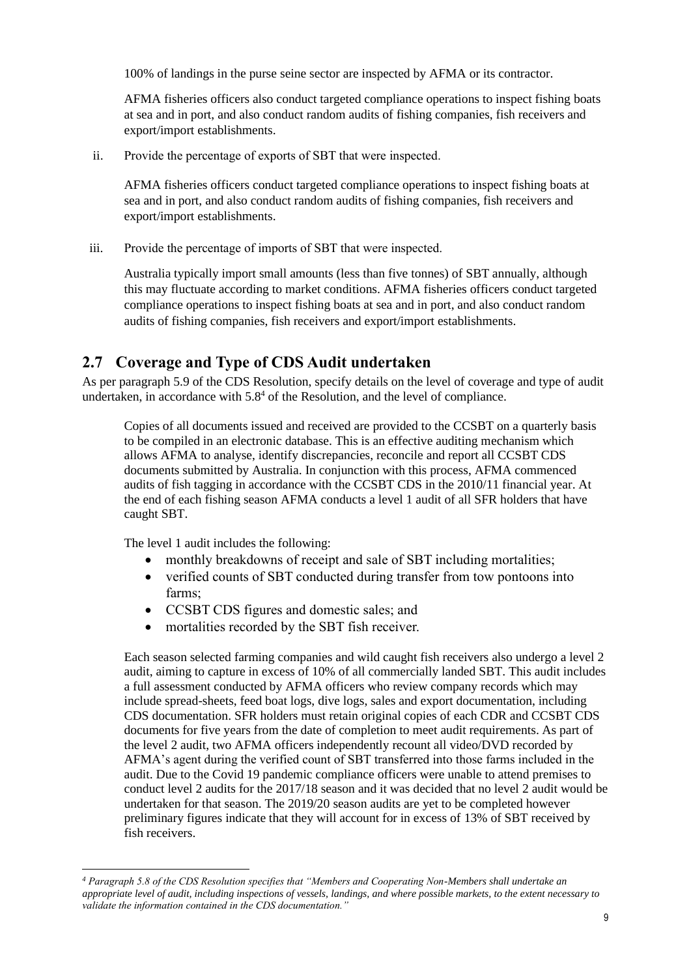100% of landings in the purse seine sector are inspected by AFMA or its contractor.

AFMA fisheries officers also conduct targeted compliance operations to inspect fishing boats at sea and in port, and also conduct random audits of fishing companies, fish receivers and export/import establishments.

ii. Provide the percentage of exports of SBT that were inspected.

AFMA fisheries officers conduct targeted compliance operations to inspect fishing boats at sea and in port, and also conduct random audits of fishing companies, fish receivers and export/import establishments.

iii. Provide the percentage of imports of SBT that were inspected.

Australia typically import small amounts (less than five tonnes) of SBT annually, although this may fluctuate according to market conditions. AFMA fisheries officers conduct targeted compliance operations to inspect fishing boats at sea and in port, and also conduct random audits of fishing companies, fish receivers and export/import establishments.

# **2.7 Coverage and Type of CDS Audit undertaken**

As per paragraph 5.9 of the CDS Resolution, specify details on the level of coverage and type of audit undertaken, in accordance with  $5.8<sup>4</sup>$  of the Resolution, and the level of compliance.

Copies of all documents issued and received are provided to the CCSBT on a quarterly basis to be compiled in an electronic database. This is an effective auditing mechanism which allows AFMA to analyse, identify discrepancies, reconcile and report all CCSBT CDS documents submitted by Australia. In conjunction with this process, AFMA commenced audits of fish tagging in accordance with the CCSBT CDS in the 2010/11 financial year. At the end of each fishing season AFMA conducts a level 1 audit of all SFR holders that have caught SBT.

The level 1 audit includes the following:

- monthly breakdowns of receipt and sale of SBT including mortalities;
- verified counts of SBT conducted during transfer from tow pontoons into farms;
- CCSBT CDS figures and domestic sales; and
- mortalities recorded by the SBT fish receiver.

Each season selected farming companies and wild caught fish receivers also undergo a level 2 audit, aiming to capture in excess of 10% of all commercially landed SBT. This audit includes a full assessment conducted by AFMA officers who review company records which may include spread-sheets, feed boat logs, dive logs, sales and export documentation, including CDS documentation. SFR holders must retain original copies of each CDR and CCSBT CDS documents for five years from the date of completion to meet audit requirements. As part of the level 2 audit, two AFMA officers independently recount all video/DVD recorded by AFMA's agent during the verified count of SBT transferred into those farms included in the audit. Due to the Covid 19 pandemic compliance officers were unable to attend premises to conduct level 2 audits for the 2017/18 season and it was decided that no level 2 audit would be undertaken for that season. The 2019/20 season audits are yet to be completed however preliminary figures indicate that they will account for in excess of 13% of SBT received by fish receivers.

*<sup>4</sup> Paragraph 5.8 of the CDS Resolution specifies that "Members and Cooperating Non-Members shall undertake an appropriate level of audit, including inspections of vessels, landings, and where possible markets, to the extent necessary to validate the information contained in the CDS documentation."*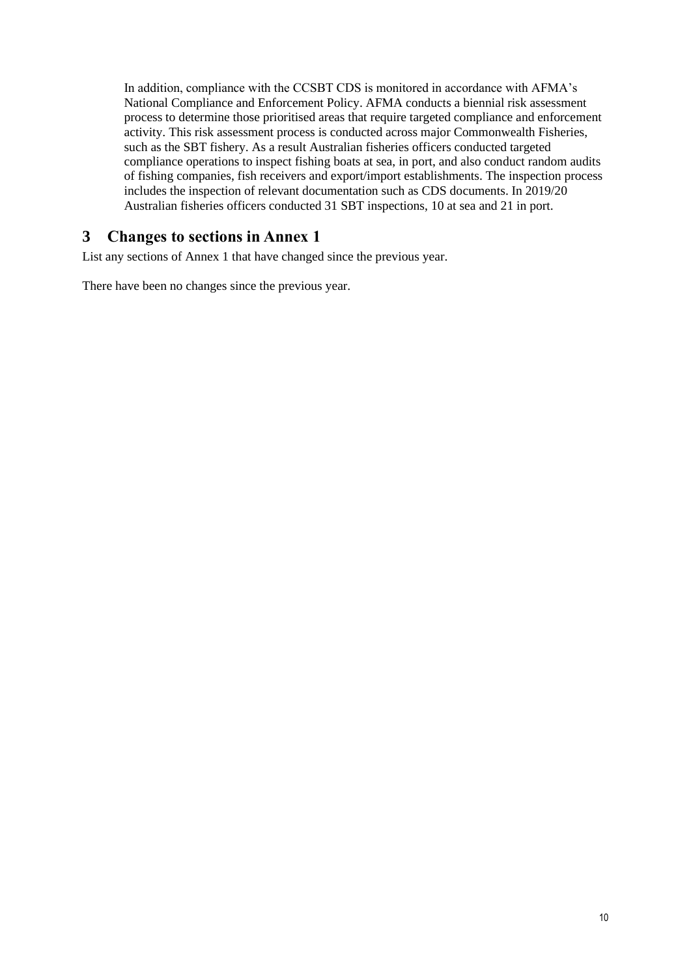In addition, compliance with the CCSBT CDS is monitored in accordance with AFMA's National Compliance and Enforcement Policy. AFMA conducts a biennial risk assessment process to determine those prioritised areas that require targeted compliance and enforcement activity. This risk assessment process is conducted across major Commonwealth Fisheries, such as the SBT fishery. As a result Australian fisheries officers conducted targeted compliance operations to inspect fishing boats at sea, in port, and also conduct random audits of fishing companies, fish receivers and export/import establishments. The inspection process includes the inspection of relevant documentation such as CDS documents. In 2019/20 Australian fisheries officers conducted 31 SBT inspections, 10 at sea and 21 in port.

## **3 Changes to sections in Annex 1**

List any sections of Annex 1 that have changed since the previous year.

There have been no changes since the previous year.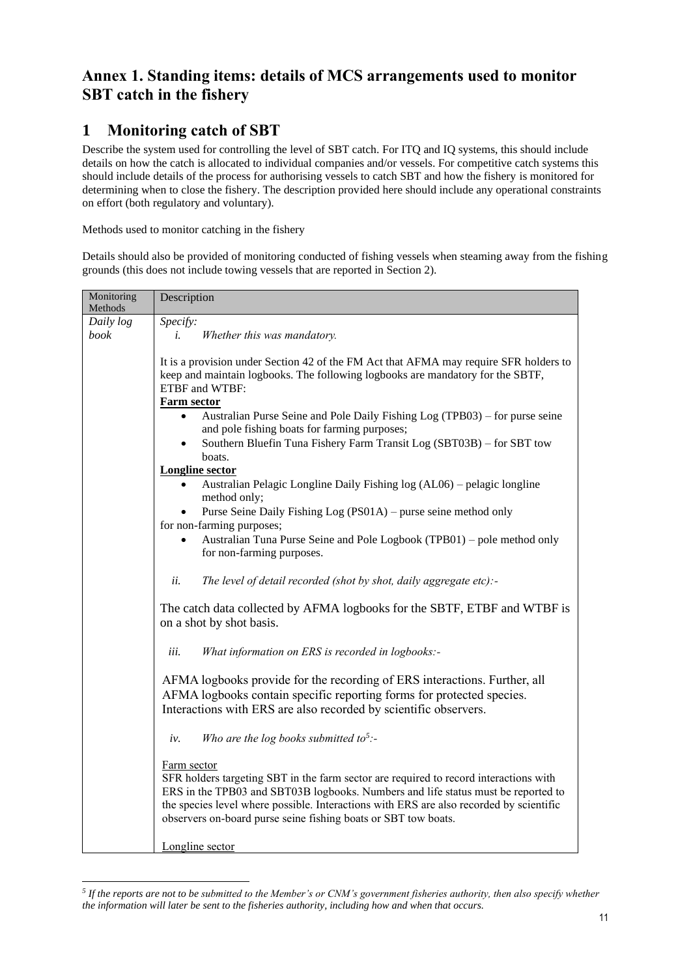# **Annex 1. Standing items: details of MCS arrangements used to monitor SBT catch in the fishery**

# **1 Monitoring catch of SBT**

Describe the system used for controlling the level of SBT catch. For ITQ and IQ systems, this should include details on how the catch is allocated to individual companies and/or vessels. For competitive catch systems this should include details of the process for authorising vessels to catch SBT and how the fishery is monitored for determining when to close the fishery. The description provided here should include any operational constraints on effort (both regulatory and voluntary).

#### Methods used to monitor catching in the fishery

Details should also be provided of monitoring conducted of fishing vessels when steaming away from the fishing grounds (this does not include towing vessels that are reported in Section 2).

| Monitoring<br>Methods | Description                                                                                                                                                                                                                                                                                                                                                                                                                                                              |
|-----------------------|--------------------------------------------------------------------------------------------------------------------------------------------------------------------------------------------------------------------------------------------------------------------------------------------------------------------------------------------------------------------------------------------------------------------------------------------------------------------------|
| Daily log             | Specify:                                                                                                                                                                                                                                                                                                                                                                                                                                                                 |
| book                  | Whether this was mandatory.<br>i.                                                                                                                                                                                                                                                                                                                                                                                                                                        |
|                       | It is a provision under Section 42 of the FM Act that AFMA may require SFR holders to<br>keep and maintain logbooks. The following logbooks are mandatory for the SBTF,<br>ETBF and WTBF:<br><b>Farm sector</b><br>Australian Purse Seine and Pole Daily Fishing Log (TPB03) – for purse seine<br>$\bullet$<br>and pole fishing boats for farming purposes;<br>Southern Bluefin Tuna Fishery Farm Transit Log (SBT03B) - for SBT tow<br>boats.<br><b>Longline sector</b> |
|                       | Australian Pelagic Longline Daily Fishing log (AL06) – pelagic longline<br>$\bullet$<br>method only;                                                                                                                                                                                                                                                                                                                                                                     |
|                       | Purse Seine Daily Fishing Log (PS01A) - purse seine method only<br>for non-farming purposes;                                                                                                                                                                                                                                                                                                                                                                             |
|                       | Australian Tuna Purse Seine and Pole Logbook (TPB01) - pole method only<br>for non-farming purposes.                                                                                                                                                                                                                                                                                                                                                                     |
|                       | The level of detail recorded (shot by shot, daily aggregate etc):-<br>ii.                                                                                                                                                                                                                                                                                                                                                                                                |
|                       | The catch data collected by AFMA logbooks for the SBTF, ETBF and WTBF is<br>on a shot by shot basis.                                                                                                                                                                                                                                                                                                                                                                     |
|                       | iii.<br>What information on ERS is recorded in logbooks:-                                                                                                                                                                                                                                                                                                                                                                                                                |
|                       | AFMA logbooks provide for the recording of ERS interactions. Further, all<br>AFMA logbooks contain specific reporting forms for protected species.<br>Interactions with ERS are also recorded by scientific observers.                                                                                                                                                                                                                                                   |
|                       | Who are the log books submitted to <sup>5</sup> :-<br>iv.                                                                                                                                                                                                                                                                                                                                                                                                                |
|                       | Farm sector<br>SFR holders targeting SBT in the farm sector are required to record interactions with<br>ERS in the TPB03 and SBT03B logbooks. Numbers and life status must be reported to<br>the species level where possible. Interactions with ERS are also recorded by scientific<br>observers on-board purse seine fishing boats or SBT tow boats.<br>Longline sector                                                                                                |

*<sup>5</sup> If the reports are not to be submitted to the Member's or CNM's government fisheries authority, then also specify whether the information will later be sent to the fisheries authority, including how and when that occurs.*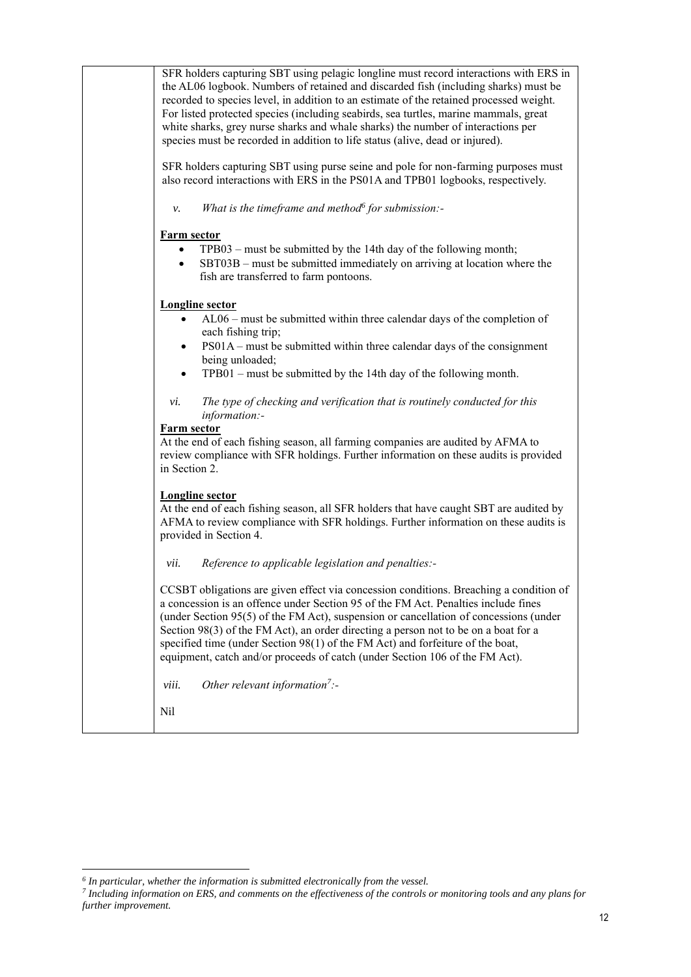| SFR holders capturing SBT using pelagic longline must record interactions with ERS in<br>the AL06 logbook. Numbers of retained and discarded fish (including sharks) must be<br>recorded to species level, in addition to an estimate of the retained processed weight.<br>For listed protected species (including seabirds, sea turtles, marine mammals, great<br>white sharks, grey nurse sharks and whale sharks) the number of interactions per<br>species must be recorded in addition to life status (alive, dead or injured).<br>SFR holders capturing SBT using purse seine and pole for non-farming purposes must<br>also record interactions with ERS in the PS01A and TPB01 logbooks, respectively.<br>What is the timeframe and method $6$ for submission:-<br>ν. |
|-------------------------------------------------------------------------------------------------------------------------------------------------------------------------------------------------------------------------------------------------------------------------------------------------------------------------------------------------------------------------------------------------------------------------------------------------------------------------------------------------------------------------------------------------------------------------------------------------------------------------------------------------------------------------------------------------------------------------------------------------------------------------------|
| <b>Farm sector</b><br>TPB03 – must be submitted by the 14th day of the following month;<br>SBT03B – must be submitted immediately on arriving at location where the<br>fish are transferred to farm pontoons.                                                                                                                                                                                                                                                                                                                                                                                                                                                                                                                                                                 |
| <b>Longline</b> sector<br>AL06 - must be submitted within three calendar days of the completion of<br>each fishing trip;<br>PS01A – must be submitted within three calendar days of the consignment<br>being unloaded;<br>TPB01 – must be submitted by the 14th day of the following month.<br>$\bullet$                                                                                                                                                                                                                                                                                                                                                                                                                                                                      |
| The type of checking and verification that is routinely conducted for this<br>vi.<br>information:-<br><b>Farm sector</b><br>At the end of each fishing season, all farming companies are audited by AFMA to<br>review compliance with SFR holdings. Further information on these audits is provided<br>in Section 2.                                                                                                                                                                                                                                                                                                                                                                                                                                                          |
| <b>Longline sector</b><br>At the end of each fishing season, all SFR holders that have caught SBT are audited by<br>AFMA to review compliance with SFR holdings. Further information on these audits is<br>provided in Section 4.                                                                                                                                                                                                                                                                                                                                                                                                                                                                                                                                             |
| Reference to applicable legislation and penalties:-<br>vii.<br>CCSBT obligations are given effect via concession conditions. Breaching a condition of<br>a concession is an offence under Section 95 of the FM Act. Penalties include fines<br>(under Section 95(5) of the FM Act), suspension or cancellation of concessions (under<br>Section 98(3) of the FM Act), an order directing a person not to be on a boat for a<br>specified time (under Section 98(1) of the FM Act) and forfeiture of the boat,<br>equipment, catch and/or proceeds of catch (under Section 106 of the FM Act).                                                                                                                                                                                 |
| Other relevant information <sup>7</sup> :-<br>viii.<br>Nil                                                                                                                                                                                                                                                                                                                                                                                                                                                                                                                                                                                                                                                                                                                    |

<sup>&</sup>lt;sup>6</sup> In particular, whether the information is submitted electronically from the vessel.<br><sup>7</sup> Including information on ERS, and comments on the effectiveness of the controls or monitoring tools and any plans for *further improvement.*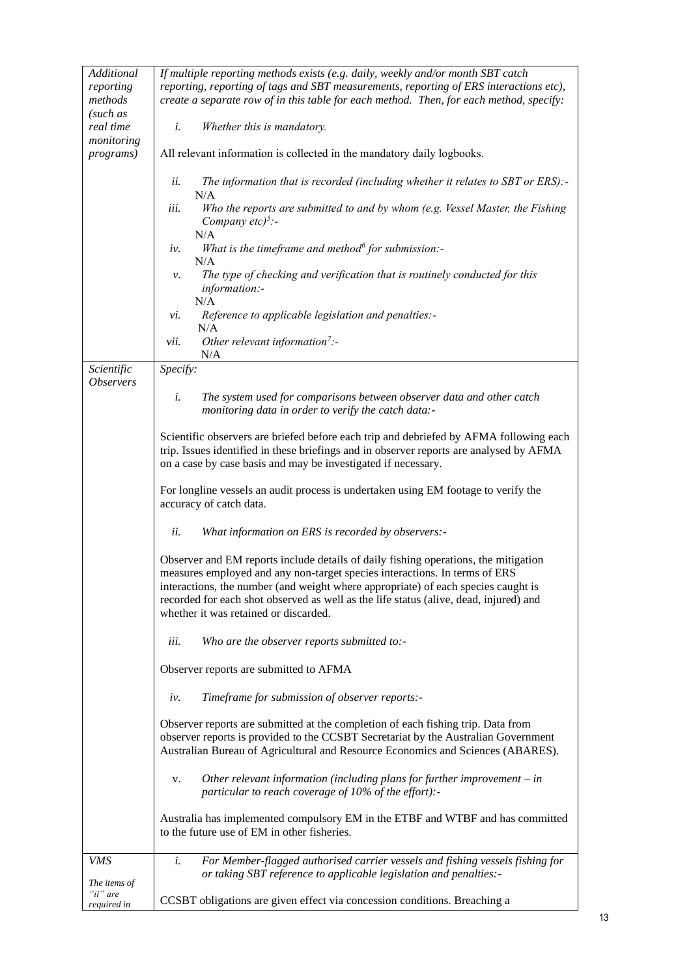| Additional<br>reporting                 | If multiple reporting methods exists (e.g. daily, weekly and/or month SBT catch<br>reporting, reporting of tags and SBT measurements, reporting of ERS interactions etc),                                                                                                                                                                       |  |  |  |
|-----------------------------------------|-------------------------------------------------------------------------------------------------------------------------------------------------------------------------------------------------------------------------------------------------------------------------------------------------------------------------------------------------|--|--|--|
| methods<br>(such as                     | create a separate row of in this table for each method. Then, for each method, specify:                                                                                                                                                                                                                                                         |  |  |  |
| real time<br>monitoring                 | Whether this is mandatory.<br>i.                                                                                                                                                                                                                                                                                                                |  |  |  |
| <i>programs</i> )                       | All relevant information is collected in the mandatory daily logbooks.                                                                                                                                                                                                                                                                          |  |  |  |
|                                         | The information that is recorded (including whether it relates to SBT or ERS):-<br>ii.<br>N/A                                                                                                                                                                                                                                                   |  |  |  |
|                                         | Who the reports are submitted to and by whom (e.g. Vessel Master, the Fishing<br>iii.<br>Company $etc$ <sup>5</sup> :-                                                                                                                                                                                                                          |  |  |  |
|                                         | N/A<br>What is the timeframe and method $\delta$ for submission:-                                                                                                                                                                                                                                                                               |  |  |  |
|                                         | iv.<br>N/A                                                                                                                                                                                                                                                                                                                                      |  |  |  |
|                                         | The type of checking and verification that is routinely conducted for this<br>ν.<br>information:-                                                                                                                                                                                                                                               |  |  |  |
|                                         | N/A<br>Reference to applicable legislation and penalties:-<br>vi.                                                                                                                                                                                                                                                                               |  |  |  |
|                                         | N/A<br>Other relevant information <sup>7</sup> :-<br>vii.                                                                                                                                                                                                                                                                                       |  |  |  |
| Scientific                              | N/A<br>Specify:                                                                                                                                                                                                                                                                                                                                 |  |  |  |
| <i><b>Observers</b></i>                 | i.<br>The system used for comparisons between observer data and other catch<br>monitoring data in order to verify the catch data:-                                                                                                                                                                                                              |  |  |  |
|                                         | Scientific observers are briefed before each trip and debriefed by AFMA following each                                                                                                                                                                                                                                                          |  |  |  |
|                                         | trip. Issues identified in these briefings and in observer reports are analysed by AFMA<br>on a case by case basis and may be investigated if necessary.                                                                                                                                                                                        |  |  |  |
|                                         | For longline vessels an audit process is undertaken using EM footage to verify the<br>accuracy of catch data.                                                                                                                                                                                                                                   |  |  |  |
|                                         | ii.<br>What information on ERS is recorded by observers:-                                                                                                                                                                                                                                                                                       |  |  |  |
|                                         | Observer and EM reports include details of daily fishing operations, the mitigation<br>measures employed and any non-target species interactions. In terms of ERS<br>interactions, the number (and weight where appropriate) of each species caught is<br>recorded for each shot observed as well as the life status (alive, dead, injured) and |  |  |  |
|                                         | whether it was retained or discarded.                                                                                                                                                                                                                                                                                                           |  |  |  |
|                                         | Who are the observer reports submitted to:-<br>iii.                                                                                                                                                                                                                                                                                             |  |  |  |
|                                         | Observer reports are submitted to AFMA                                                                                                                                                                                                                                                                                                          |  |  |  |
|                                         | Timeframe for submission of observer reports:-<br>iv.                                                                                                                                                                                                                                                                                           |  |  |  |
|                                         | Observer reports are submitted at the completion of each fishing trip. Data from<br>observer reports is provided to the CCSBT Secretariat by the Australian Government<br>Australian Bureau of Agricultural and Resource Economics and Sciences (ABARES).                                                                                       |  |  |  |
|                                         | Other relevant information (including plans for further improvement $-$ in<br>v.<br>particular to reach coverage of $10\%$ of the effort):-                                                                                                                                                                                                     |  |  |  |
|                                         | Australia has implemented compulsory EM in the ETBF and WTBF and has committed<br>to the future use of EM in other fisheries.                                                                                                                                                                                                                   |  |  |  |
| <b>VMS</b>                              | i.<br>For Member-flagged authorised carrier vessels and fishing vessels fishing for<br>or taking SBT reference to applicable legislation and penalties:-                                                                                                                                                                                        |  |  |  |
| The items of<br>"ii" are<br>required in | CCSBT obligations are given effect via concession conditions. Breaching a                                                                                                                                                                                                                                                                       |  |  |  |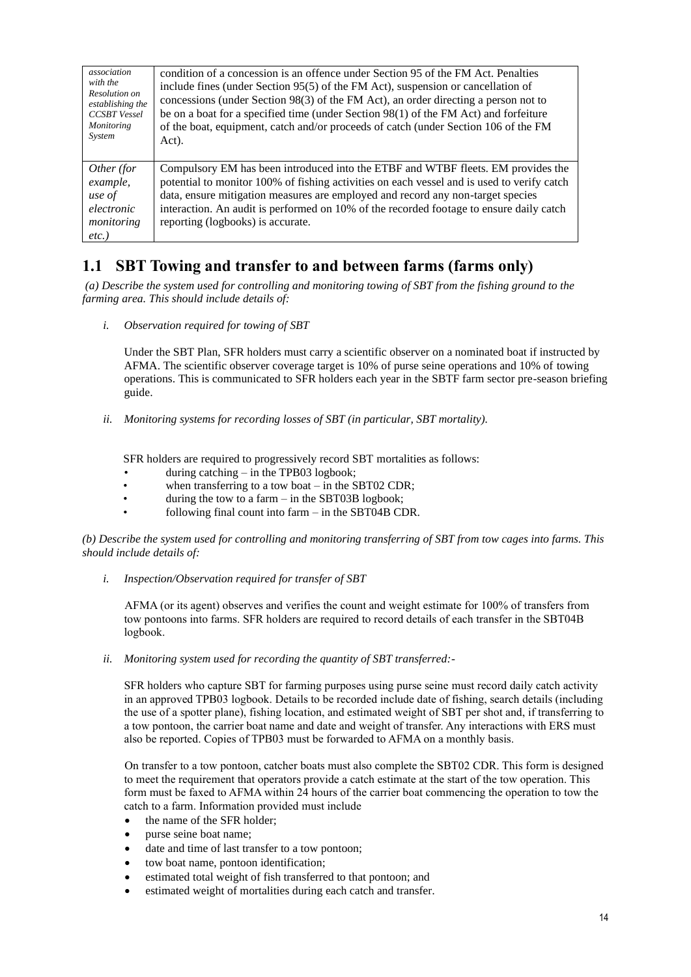| association<br>with the<br>Resolution on<br>establishing the<br><b>CCSBT</b> Vessel<br><b>Monitoring</b><br>System | condition of a concession is an offence under Section 95 of the FM Act. Penalties<br>include fines (under Section 95(5) of the FM Act), suspension or cancellation of<br>concessions (under Section 98(3) of the FM Act), an order directing a person not to<br>be on a boat for a specified time (under Section 98(1) of the FM Act) and forfeiture<br>of the boat, equipment, catch and/or proceeds of catch (under Section 106 of the FM<br>Act). |
|--------------------------------------------------------------------------------------------------------------------|------------------------------------------------------------------------------------------------------------------------------------------------------------------------------------------------------------------------------------------------------------------------------------------------------------------------------------------------------------------------------------------------------------------------------------------------------|
| Other (for<br>example,<br>use of<br>electronic<br>monitoring<br>$etc.$ )                                           | Compulsory EM has been introduced into the ETBF and WTBF fleets. EM provides the<br>potential to monitor 100% of fishing activities on each vessel and is used to verify catch<br>data, ensure mitigation measures are employed and record any non-target species<br>interaction. An audit is performed on 10% of the recorded footage to ensure daily catch<br>reporting (logbooks) is accurate.                                                    |

# **1.1 SBT Towing and transfer to and between farms (farms only)**

*(a) Describe the system used for controlling and monitoring towing of SBT from the fishing ground to the farming area. This should include details of:*

*i. Observation required for towing of SBT* 

Under the SBT Plan, SFR holders must carry a scientific observer on a nominated boat if instructed by AFMA. The scientific observer coverage target is 10% of purse seine operations and 10% of towing operations. This is communicated to SFR holders each year in the SBTF farm sector pre-season briefing guide.

*ii. Monitoring systems for recording losses of SBT (in particular, SBT mortality).*

SFR holders are required to progressively record SBT mortalities as follows:

- during catching  $-$  in the TPB03 logbook;
- when transferring to a tow boat  $-$  in the SBT02 CDR;
- during the tow to a farm  $-$  in the SBT03B logbook;
- following final count into farm  $-$  in the SBT04B CDR.

*(b) Describe the system used for controlling and monitoring transferring of SBT from tow cages into farms. This should include details of:*

*i. Inspection/Observation required for transfer of SBT* 

AFMA (or its agent) observes and verifies the count and weight estimate for 100% of transfers from tow pontoons into farms. SFR holders are required to record details of each transfer in the SBT04B logbook.

*ii. Monitoring system used for recording the quantity of SBT transferred:-*

SFR holders who capture SBT for farming purposes using purse seine must record daily catch activity in an approved TPB03 logbook. Details to be recorded include date of fishing, search details (including the use of a spotter plane), fishing location, and estimated weight of SBT per shot and, if transferring to a tow pontoon, the carrier boat name and date and weight of transfer. Any interactions with ERS must also be reported. Copies of TPB03 must be forwarded to AFMA on a monthly basis.

On transfer to a tow pontoon, catcher boats must also complete the SBT02 CDR. This form is designed to meet the requirement that operators provide a catch estimate at the start of the tow operation. This form must be faxed to AFMA within 24 hours of the carrier boat commencing the operation to tow the catch to a farm. Information provided must include

- the name of the SFR holder;
- purse seine boat name;
- date and time of last transfer to a tow pontoon;
- tow boat name, pontoon identification;
- estimated total weight of fish transferred to that pontoon; and
- estimated weight of mortalities during each catch and transfer.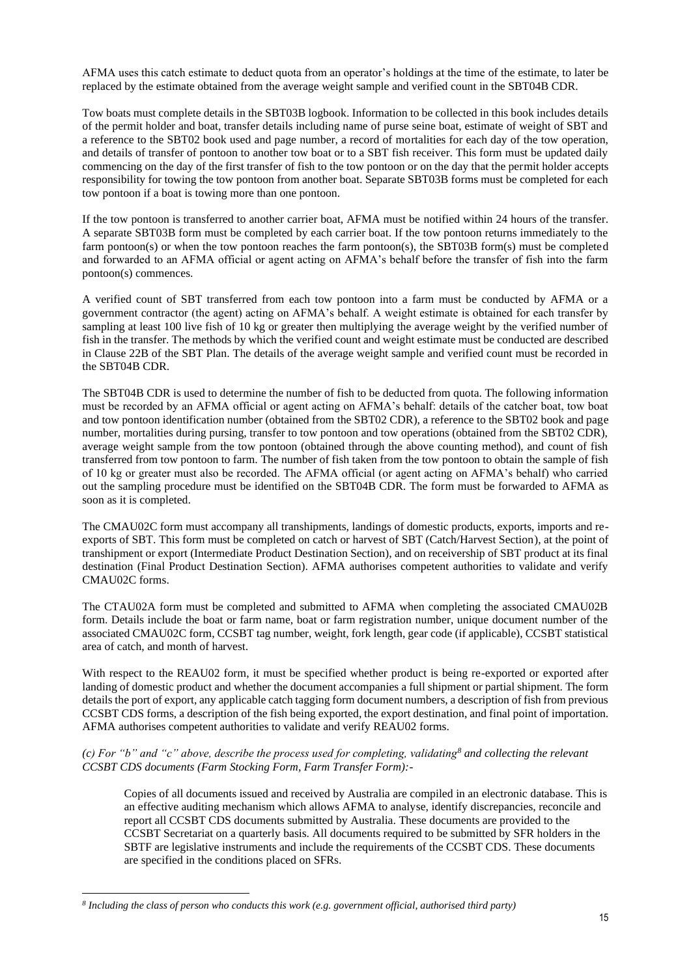AFMA uses this catch estimate to deduct quota from an operator's holdings at the time of the estimate, to later be replaced by the estimate obtained from the average weight sample and verified count in the SBT04B CDR.

Tow boats must complete details in the SBT03B logbook. Information to be collected in this book includes details of the permit holder and boat, transfer details including name of purse seine boat, estimate of weight of SBT and a reference to the SBT02 book used and page number, a record of mortalities for each day of the tow operation, and details of transfer of pontoon to another tow boat or to a SBT fish receiver. This form must be updated daily commencing on the day of the first transfer of fish to the tow pontoon or on the day that the permit holder accepts responsibility for towing the tow pontoon from another boat. Separate SBT03B forms must be completed for each tow pontoon if a boat is towing more than one pontoon.

If the tow pontoon is transferred to another carrier boat, AFMA must be notified within 24 hours of the transfer. A separate SBT03B form must be completed by each carrier boat. If the tow pontoon returns immediately to the farm pontoon(s) or when the tow pontoon reaches the farm pontoon(s), the SBT03B form(s) must be completed and forwarded to an AFMA official or agent acting on AFMA's behalf before the transfer of fish into the farm pontoon(s) commences.

A verified count of SBT transferred from each tow pontoon into a farm must be conducted by AFMA or a government contractor (the agent) acting on AFMA's behalf. A weight estimate is obtained for each transfer by sampling at least 100 live fish of 10 kg or greater then multiplying the average weight by the verified number of fish in the transfer. The methods by which the verified count and weight estimate must be conducted are described in Clause 22B of the SBT Plan. The details of the average weight sample and verified count must be recorded in the SBT04B CDR.

The SBT04B CDR is used to determine the number of fish to be deducted from quota. The following information must be recorded by an AFMA official or agent acting on AFMA's behalf: details of the catcher boat, tow boat and tow pontoon identification number (obtained from the SBT02 CDR), a reference to the SBT02 book and page number, mortalities during pursing, transfer to tow pontoon and tow operations (obtained from the SBT02 CDR), average weight sample from the tow pontoon (obtained through the above counting method), and count of fish transferred from tow pontoon to farm. The number of fish taken from the tow pontoon to obtain the sample of fish of 10 kg or greater must also be recorded. The AFMA official (or agent acting on AFMA's behalf) who carried out the sampling procedure must be identified on the SBT04B CDR. The form must be forwarded to AFMA as soon as it is completed.

The CMAU02C form must accompany all transhipments, landings of domestic products, exports, imports and reexports of SBT. This form must be completed on catch or harvest of SBT (Catch/Harvest Section), at the point of transhipment or export (Intermediate Product Destination Section), and on receivership of SBT product at its final destination (Final Product Destination Section). AFMA authorises competent authorities to validate and verify CMAU02C forms.

The CTAU02A form must be completed and submitted to AFMA when completing the associated CMAU02B form. Details include the boat or farm name, boat or farm registration number, unique document number of the associated CMAU02C form, CCSBT tag number, weight, fork length, gear code (if applicable), CCSBT statistical area of catch, and month of harvest.

With respect to the REAU02 form, it must be specified whether product is being re-exported or exported after landing of domestic product and whether the document accompanies a full shipment or partial shipment. The form details the port of export, any applicable catch tagging form document numbers, a description of fish from previous CCSBT CDS forms, a description of the fish being exported, the export destination, and final point of importation. AFMA authorises competent authorities to validate and verify REAU02 forms.

#### *(c) For "b" and "c" above, describe the process used for completing, validating<sup>8</sup> and collecting the relevant CCSBT CDS documents (Farm Stocking Form, Farm Transfer Form):-*

Copies of all documents issued and received by Australia are compiled in an electronic database. This is an effective auditing mechanism which allows AFMA to analyse, identify discrepancies, reconcile and report all CCSBT CDS documents submitted by Australia. These documents are provided to the CCSBT Secretariat on a quarterly basis. All documents required to be submitted by SFR holders in the SBTF are legislative instruments and include the requirements of the CCSBT CDS. These documents are specified in the conditions placed on SFRs.

*<sup>8</sup> Including the class of person who conducts this work (e.g. government official, authorised third party)*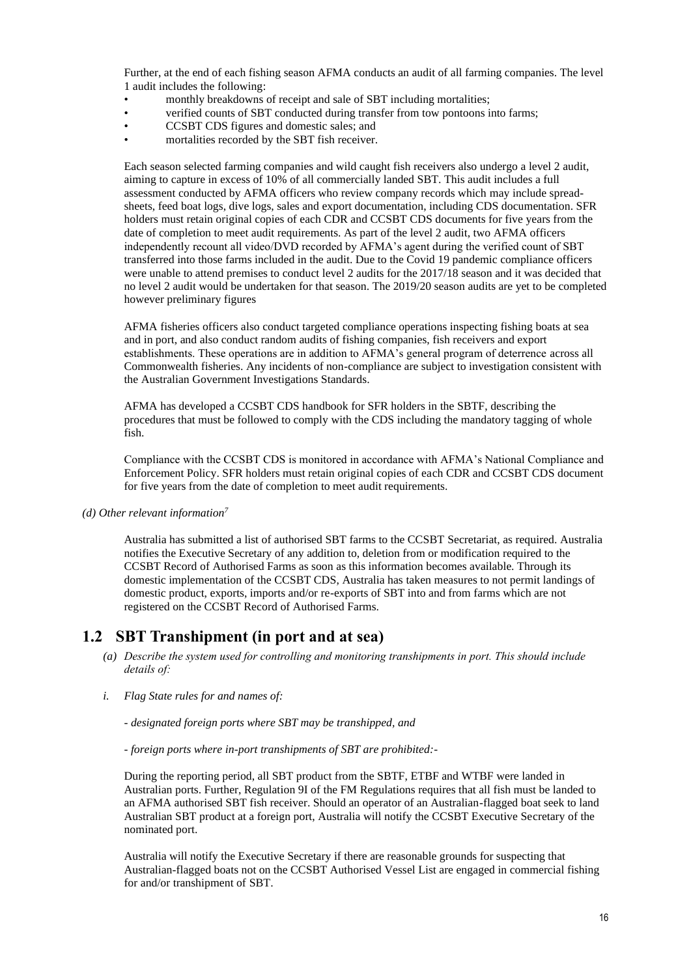Further, at the end of each fishing season AFMA conducts an audit of all farming companies. The level 1 audit includes the following:

- monthly breakdowns of receipt and sale of SBT including mortalities;
- verified counts of SBT conducted during transfer from tow pontoons into farms;
- CCSBT CDS figures and domestic sales; and
- mortalities recorded by the SBT fish receiver.

Each season selected farming companies and wild caught fish receivers also undergo a level 2 audit, aiming to capture in excess of 10% of all commercially landed SBT. This audit includes a full assessment conducted by AFMA officers who review company records which may include spreadsheets, feed boat logs, dive logs, sales and export documentation, including CDS documentation. SFR holders must retain original copies of each CDR and CCSBT CDS documents for five years from the date of completion to meet audit requirements. As part of the level 2 audit, two AFMA officers independently recount all video/DVD recorded by AFMA's agent during the verified count of SBT transferred into those farms included in the audit. Due to the Covid 19 pandemic compliance officers were unable to attend premises to conduct level 2 audits for the 2017/18 season and it was decided that no level 2 audit would be undertaken for that season. The 2019/20 season audits are yet to be completed however preliminary figures

AFMA fisheries officers also conduct targeted compliance operations inspecting fishing boats at sea and in port, and also conduct random audits of fishing companies, fish receivers and export establishments. These operations are in addition to AFMA's general program of deterrence across all Commonwealth fisheries. Any incidents of non-compliance are subject to investigation consistent with the Australian Government Investigations Standards.

AFMA has developed a CCSBT CDS handbook for SFR holders in the SBTF, describing the procedures that must be followed to comply with the CDS including the mandatory tagging of whole fish.

Compliance with the CCSBT CDS is monitored in accordance with AFMA's National Compliance and Enforcement Policy. SFR holders must retain original copies of each CDR and CCSBT CDS document for five years from the date of completion to meet audit requirements.

*(d) Other relevant information<sup>7</sup>*

Australia has submitted a list of authorised SBT farms to the CCSBT Secretariat, as required. Australia notifies the Executive Secretary of any addition to, deletion from or modification required to the CCSBT Record of Authorised Farms as soon as this information becomes available. Through its domestic implementation of the CCSBT CDS, Australia has taken measures to not permit landings of domestic product, exports, imports and/or re-exports of SBT into and from farms which are not registered on the CCSBT Record of Authorised Farms.

#### **1.2 SBT Transhipment (in port and at sea)**

- *(a) Describe the system used for controlling and monitoring transhipments in port. This should include details of:*
- *i. Flag State rules for and names of:*

*- designated foreign ports where SBT may be transhipped, and* 

*- foreign ports where in-port transhipments of SBT are prohibited:-*

During the reporting period, all SBT product from the SBTF, ETBF and WTBF were landed in Australian ports. Further, Regulation 9I of the FM Regulations requires that all fish must be landed to an AFMA authorised SBT fish receiver. Should an operator of an Australian-flagged boat seek to land Australian SBT product at a foreign port, Australia will notify the CCSBT Executive Secretary of the nominated port.

Australia will notify the Executive Secretary if there are reasonable grounds for suspecting that Australian-flagged boats not on the CCSBT Authorised Vessel List are engaged in commercial fishing for and/or transhipment of SBT.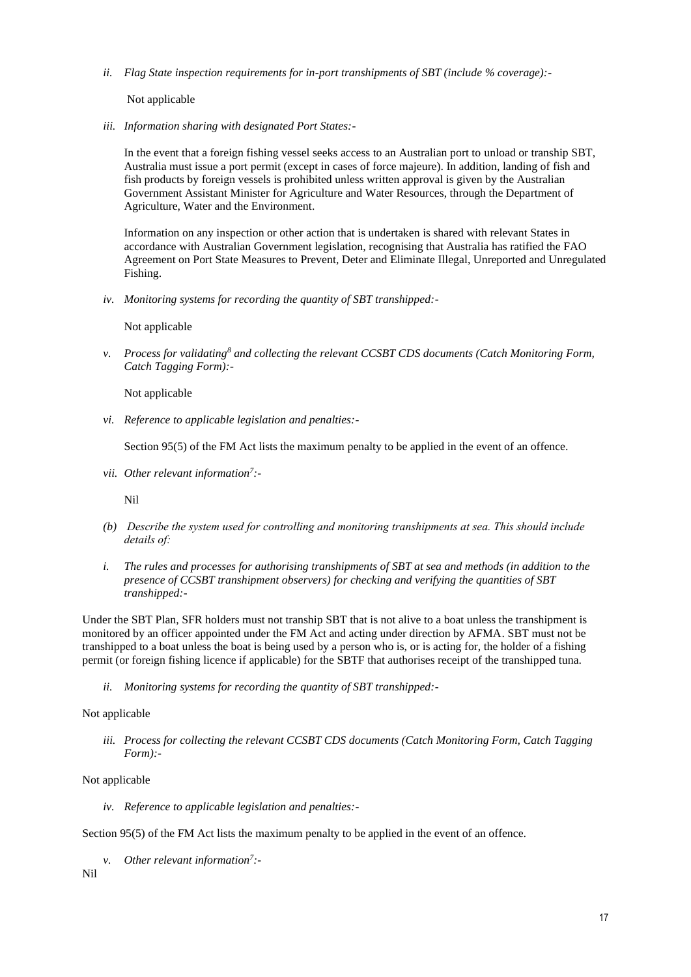*ii. Flag State inspection requirements for in-port transhipments of SBT (include % coverage):-*

Not applicable

*iii. Information sharing with designated Port States:-*

In the event that a foreign fishing vessel seeks access to an Australian port to unload or tranship SBT, Australia must issue a port permit (except in cases of force majeure). In addition, landing of fish and fish products by foreign vessels is prohibited unless written approval is given by the Australian Government Assistant Minister for Agriculture and Water Resources, through the Department of Agriculture, Water and the Environment.

Information on any inspection or other action that is undertaken is shared with relevant States in accordance with Australian Government legislation, recognising that Australia has ratified the FAO Agreement on Port State Measures to Prevent, Deter and Eliminate Illegal, Unreported and Unregulated Fishing.

*iv. Monitoring systems for recording the quantity of SBT transhipped:-*

Not applicable

*v. Process for validating<sup>8</sup> and collecting the relevant CCSBT CDS documents (Catch Monitoring Form, Catch Tagging Form):-*

Not applicable

*vi. Reference to applicable legislation and penalties:-*

Section 95(5) of the FM Act lists the maximum penalty to be applied in the event of an offence.

*vii. Other relevant information<sup>7</sup> :-*

Nil

- *(b) Describe the system used for controlling and monitoring transhipments at sea. This should include details of:*
- *i. The rules and processes for authorising transhipments of SBT at sea and methods (in addition to the presence of CCSBT transhipment observers) for checking and verifying the quantities of SBT transhipped:-*

Under the SBT Plan, SFR holders must not tranship SBT that is not alive to a boat unless the transhipment is monitored by an officer appointed under the FM Act and acting under direction by AFMA. SBT must not be transhipped to a boat unless the boat is being used by a person who is, or is acting for, the holder of a fishing permit (or foreign fishing licence if applicable) for the SBTF that authorises receipt of the transhipped tuna.

*ii. Monitoring systems for recording the quantity of SBT transhipped:-*

Not applicable

*iii. Process for collecting the relevant CCSBT CDS documents (Catch Monitoring Form, Catch Tagging Form):-*

Not applicable

*iv. Reference to applicable legislation and penalties:-*

Section 95(5) of the FM Act lists the maximum penalty to be applied in the event of an offence.

*v. Other relevant information<sup>7</sup> :-*

Nil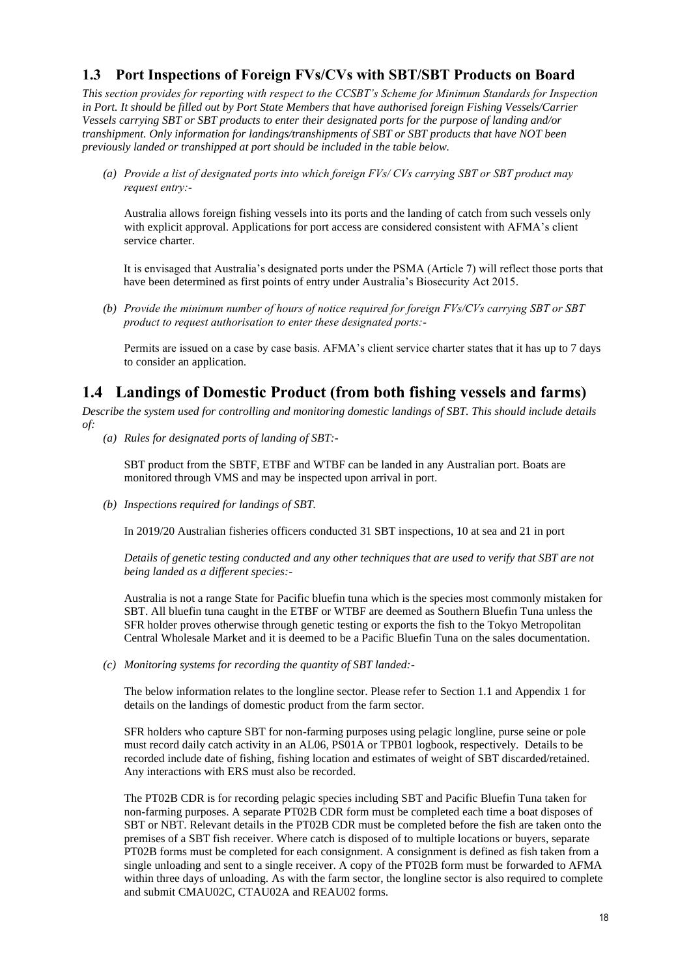### **1.3 Port Inspections of Foreign FVs/CVs with SBT/SBT Products on Board**

*This section provides for reporting with respect to the CCSBT's Scheme for Minimum Standards for Inspection in Port. It should be filled out by Port State Members that have authorised foreign Fishing Vessels/Carrier Vessels carrying SBT or SBT products to enter their designated ports for the purpose of landing and/or transhipment. Only information for landings/transhipments of SBT or SBT products that have NOT been previously landed or transhipped at port should be included in the table below.*

*(a) Provide a list of designated ports into which foreign FVs/ CVs carrying SBT or SBT product may request entry:-*

Australia allows foreign fishing vessels into its ports and the landing of catch from such vessels only with explicit approval. Applications for port access are considered consistent with AFMA's client service charter.

It is envisaged that Australia's designated ports under the PSMA (Article 7) will reflect those ports that have been determined as first points of entry under Australia's Biosecurity Act 2015.

*(b) Provide the minimum number of hours of notice required for foreign FVs/CVs carrying SBT or SBT product to request authorisation to enter these designated ports:-*

Permits are issued on a case by case basis. AFMA's client service charter states that it has up to 7 days to consider an application.

# **1.4 Landings of Domestic Product (from both fishing vessels and farms)**

*Describe the system used for controlling and monitoring domestic landings of SBT. This should include details of:*

*(a) Rules for designated ports of landing of SBT:-*

SBT product from the SBTF, ETBF and WTBF can be landed in any Australian port. Boats are monitored through VMS and may be inspected upon arrival in port.

*(b) Inspections required for landings of SBT.* 

In 2019/20 Australian fisheries officers conducted 31 SBT inspections, 10 at sea and 21 in port

*Details of genetic testing conducted and any other techniques that are used to verify that SBT are not being landed as a different species:-*

Australia is not a range State for Pacific bluefin tuna which is the species most commonly mistaken for SBT. All bluefin tuna caught in the ETBF or WTBF are deemed as Southern Bluefin Tuna unless the SFR holder proves otherwise through genetic testing or exports the fish to the Tokyo Metropolitan Central Wholesale Market and it is deemed to be a Pacific Bluefin Tuna on the sales documentation.

*(c) Monitoring systems for recording the quantity of SBT landed:-*

The below information relates to the longline sector. Please refer to Section 1.1 and Appendix 1 for details on the landings of domestic product from the farm sector.

SFR holders who capture SBT for non-farming purposes using pelagic longline, purse seine or pole must record daily catch activity in an AL06, PS01A or TPB01 logbook, respectively. Details to be recorded include date of fishing, fishing location and estimates of weight of SBT discarded/retained. Any interactions with ERS must also be recorded.

The PT02B CDR is for recording pelagic species including SBT and Pacific Bluefin Tuna taken for non-farming purposes. A separate PT02B CDR form must be completed each time a boat disposes of SBT or NBT. Relevant details in the PT02B CDR must be completed before the fish are taken onto the premises of a SBT fish receiver. Where catch is disposed of to multiple locations or buyers, separate PT02B forms must be completed for each consignment. A consignment is defined as fish taken from a single unloading and sent to a single receiver. A copy of the PT02B form must be forwarded to AFMA within three days of unloading. As with the farm sector, the longline sector is also required to complete and submit CMAU02C, CTAU02A and REAU02 forms.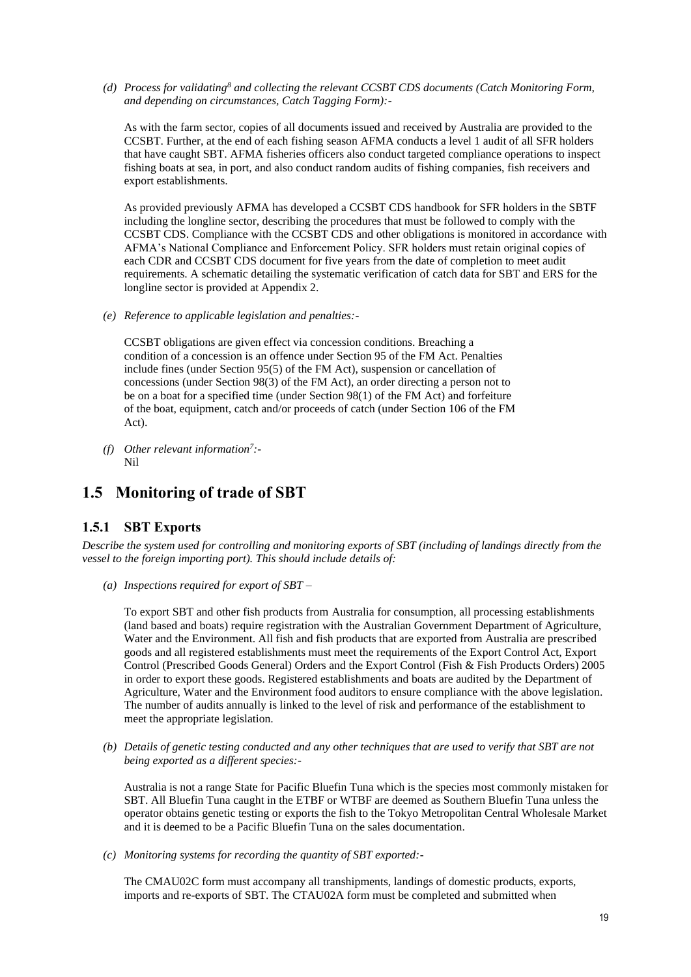*(d) Process for validating<sup>8</sup> and collecting the relevant CCSBT CDS documents (Catch Monitoring Form, and depending on circumstances, Catch Tagging Form):-*

As with the farm sector, copies of all documents issued and received by Australia are provided to the CCSBT. Further, at the end of each fishing season AFMA conducts a level 1 audit of all SFR holders that have caught SBT. AFMA fisheries officers also conduct targeted compliance operations to inspect fishing boats at sea, in port, and also conduct random audits of fishing companies, fish receivers and export establishments.

As provided previously AFMA has developed a CCSBT CDS handbook for SFR holders in the SBTF including the longline sector, describing the procedures that must be followed to comply with the CCSBT CDS. Compliance with the CCSBT CDS and other obligations is monitored in accordance with AFMA's National Compliance and Enforcement Policy. SFR holders must retain original copies of each CDR and CCSBT CDS document for five years from the date of completion to meet audit requirements. A schematic detailing the systematic verification of catch data for SBT and ERS for the longline sector is provided at Appendix 2.

*(e) Reference to applicable legislation and penalties:-*

CCSBT obligations are given effect via concession conditions. Breaching a condition of a concession is an offence under Section 95 of the FM Act. Penalties include fines (under Section 95(5) of the FM Act), suspension or cancellation of concessions (under Section 98(3) of the FM Act), an order directing a person not to be on a boat for a specified time (under Section 98(1) of the FM Act) and forfeiture of the boat, equipment, catch and/or proceeds of catch (under Section 106 of the FM Act).

*(f) Other relevant information<sup>7</sup> :-* Nil

## **1.5 Monitoring of trade of SBT**

#### **1.5.1 SBT Exports**

*Describe the system used for controlling and monitoring exports of SBT (including of landings directly from the vessel to the foreign importing port). This should include details of:*

*(a) Inspections required for export of SBT –*

To export SBT and other fish products from Australia for consumption, all processing establishments (land based and boats) require registration with the Australian Government Department of Agriculture, Water and the Environment. All fish and fish products that are exported from Australia are prescribed goods and all registered establishments must meet the requirements of the Export Control Act, Export Control (Prescribed Goods General) Orders and the Export Control (Fish & Fish Products Orders) 2005 in order to export these goods. Registered establishments and boats are audited by the Department of Agriculture, Water and the Environment food auditors to ensure compliance with the above legislation. The number of audits annually is linked to the level of risk and performance of the establishment to meet the appropriate legislation.

*(b) Details of genetic testing conducted and any other techniques that are used to verify that SBT are not being exported as a different species:-*

Australia is not a range State for Pacific Bluefin Tuna which is the species most commonly mistaken for SBT. All Bluefin Tuna caught in the ETBF or WTBF are deemed as Southern Bluefin Tuna unless the operator obtains genetic testing or exports the fish to the Tokyo Metropolitan Central Wholesale Market and it is deemed to be a Pacific Bluefin Tuna on the sales documentation.

*(c) Monitoring systems for recording the quantity of SBT exported:-*

The CMAU02C form must accompany all transhipments, landings of domestic products, exports, imports and re-exports of SBT. The CTAU02A form must be completed and submitted when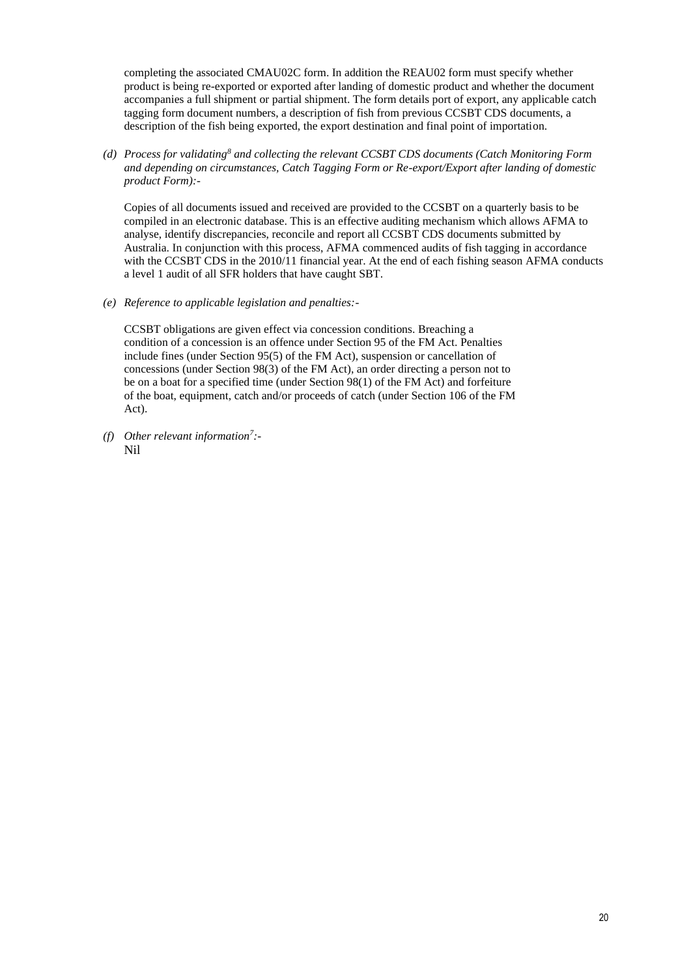completing the associated CMAU02C form. In addition the REAU02 form must specify whether product is being re-exported or exported after landing of domestic product and whether the document accompanies a full shipment or partial shipment. The form details port of export, any applicable catch tagging form document numbers, a description of fish from previous CCSBT CDS documents, a description of the fish being exported, the export destination and final point of importation.

*(d) Process for validating<sup>8</sup> and collecting the relevant CCSBT CDS documents (Catch Monitoring Form and depending on circumstances, Catch Tagging Form or Re-export/Export after landing of domestic product Form):-*

Copies of all documents issued and received are provided to the CCSBT on a quarterly basis to be compiled in an electronic database. This is an effective auditing mechanism which allows AFMA to analyse, identify discrepancies, reconcile and report all CCSBT CDS documents submitted by Australia. In conjunction with this process, AFMA commenced audits of fish tagging in accordance with the CCSBT CDS in the 2010/11 financial year. At the end of each fishing season AFMA conducts a level 1 audit of all SFR holders that have caught SBT.

*(e) Reference to applicable legislation and penalties:-*

CCSBT obligations are given effect via concession conditions. Breaching a condition of a concession is an offence under Section 95 of the FM Act. Penalties include fines (under Section 95(5) of the FM Act), suspension or cancellation of concessions (under Section 98(3) of the FM Act), an order directing a person not to be on a boat for a specified time (under Section 98(1) of the FM Act) and forfeiture of the boat, equipment, catch and/or proceeds of catch (under Section 106 of the FM Act).

*(f) Other relevant information<sup>7</sup> :-* Nil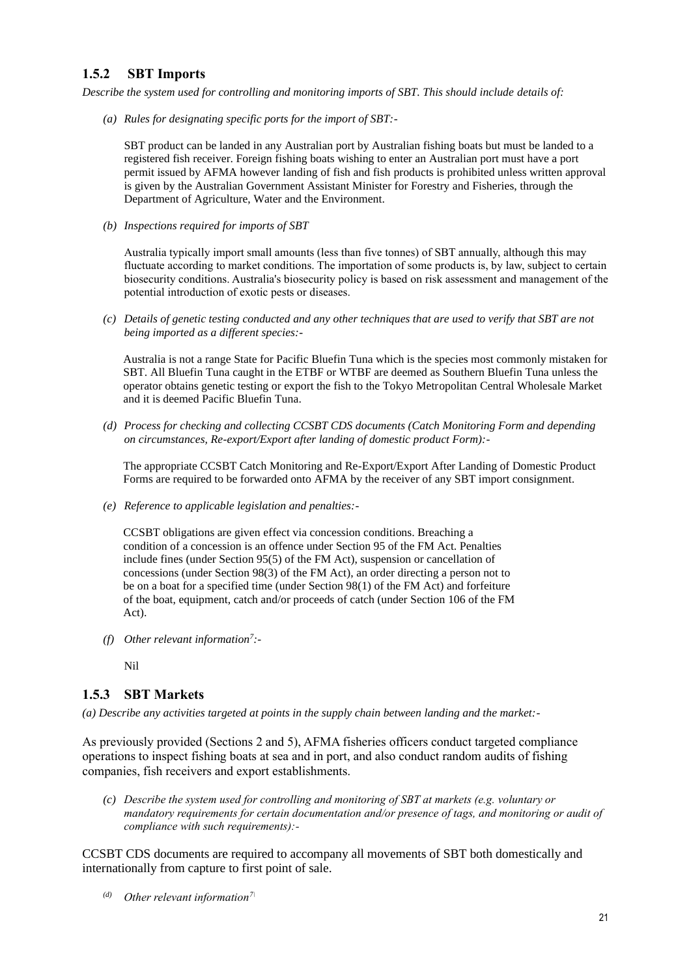### **1.5.2 SBT Imports**

*Describe the system used for controlling and monitoring imports of SBT. This should include details of:*

*(a) Rules for designating specific ports for the import of SBT:-*

SBT product can be landed in any Australian port by Australian fishing boats but must be landed to a registered fish receiver. Foreign fishing boats wishing to enter an Australian port must have a port permit issued by AFMA however landing of fish and fish products is prohibited unless written approval is given by the Australian Government Assistant Minister for Forestry and Fisheries, through the Department of Agriculture, Water and the Environment.

*(b) Inspections required for imports of SBT* 

Australia typically import small amounts (less than five tonnes) of SBT annually, although this may fluctuate according to market conditions. The importation of some products is, by law, subject to certain biosecurity conditions. Australia's biosecurity policy is based on risk assessment and management of the potential introduction of exotic pests or diseases.

*(c) Details of genetic testing conducted and any other techniques that are used to verify that SBT are not being imported as a different species:-*

Australia is not a range State for Pacific Bluefin Tuna which is the species most commonly mistaken for SBT. All Bluefin Tuna caught in the ETBF or WTBF are deemed as Southern Bluefin Tuna unless the operator obtains genetic testing or export the fish to the Tokyo Metropolitan Central Wholesale Market and it is deemed Pacific Bluefin Tuna.

*(d) Process for checking and collecting CCSBT CDS documents (Catch Monitoring Form and depending on circumstances, Re-export/Export after landing of domestic product Form):-*

The appropriate CCSBT Catch Monitoring and Re-Export/Export After Landing of Domestic Product Forms are required to be forwarded onto AFMA by the receiver of any SBT import consignment.

*(e) Reference to applicable legislation and penalties:-*

CCSBT obligations are given effect via concession conditions. Breaching a condition of a concession is an offence under Section 95 of the FM Act. Penalties include fines (under Section 95(5) of the FM Act), suspension or cancellation of concessions (under Section 98(3) of the FM Act), an order directing a person not to be on a boat for a specified time (under Section 98(1) of the FM Act) and forfeiture of the boat, equipment, catch and/or proceeds of catch (under Section 106 of the FM Act).

- *(f) Other relevant information<sup>7</sup> :-*
	- Nil

### **1.5.3 SBT Markets**

*(a) Describe any activities targeted at points in the supply chain between landing and the market:-*

As previously provided (Sections 2 and 5), AFMA fisheries officers conduct targeted compliance operations to inspect fishing boats at sea and in port, and also conduct random audits of fishing companies, fish receivers and export establishments.

*(c) Describe the system used for controlling and monitoring of SBT at markets (e.g. voluntary or mandatory requirements for certain documentation and/or presence of tags, and monitoring or audit of compliance with such requirements):-*

CCSBT CDS documents are required to accompany all movements of SBT both domestically and internationally from capture to first point of sale.

*(d) Other relevant information7\*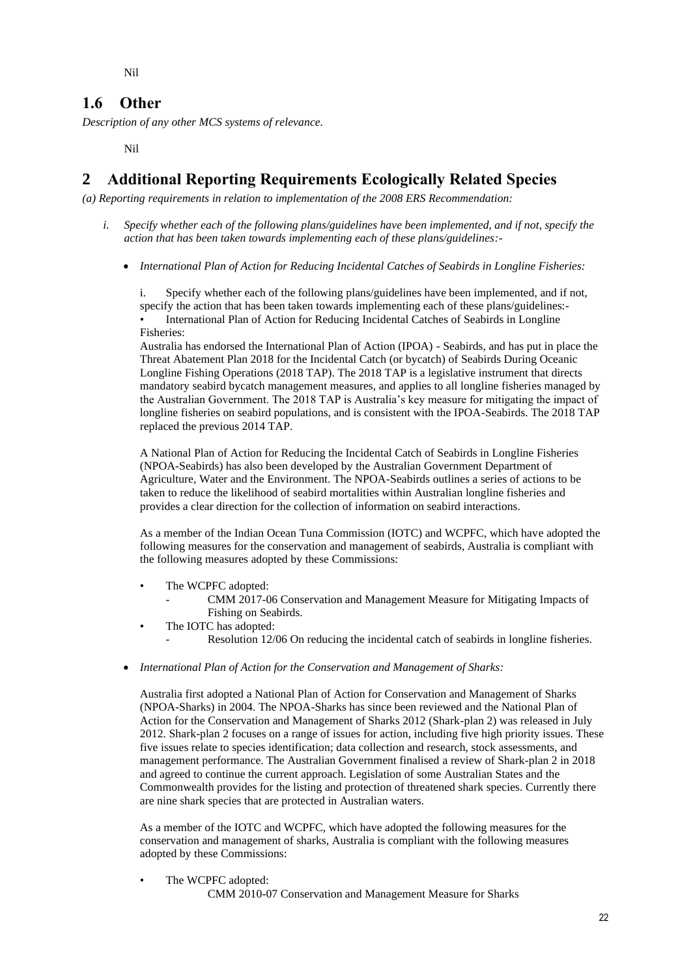Nil

# **1.6 Other**

*Description of any other MCS systems of relevance.*

Nil

# **2 Additional Reporting Requirements Ecologically Related Species**

*(a) Reporting requirements in relation to implementation of the 2008 ERS Recommendation:*

- *i. Specify whether each of the following plans/guidelines have been implemented, and if not, specify the action that has been taken towards implementing each of these plans/guidelines:-*
	- *International Plan of Action for Reducing Incidental Catches of Seabirds in Longline Fisheries:*

i. Specify whether each of the following plans/guidelines have been implemented, and if not, specify the action that has been taken towards implementing each of these plans/guidelines:-

• International Plan of Action for Reducing Incidental Catches of Seabirds in Longline Fisheries:

Australia has endorsed the International Plan of Action (IPOA) - Seabirds, and has put in place the Threat Abatement Plan 2018 for the Incidental Catch (or bycatch) of Seabirds During Oceanic Longline Fishing Operations (2018 TAP). The 2018 TAP is a legislative instrument that directs mandatory seabird bycatch management measures, and applies to all longline fisheries managed by the Australian Government. The 2018 TAP is Australia's key measure for mitigating the impact of longline fisheries on seabird populations, and is consistent with the IPOA-Seabirds. The 2018 TAP replaced the previous 2014 TAP.

A National Plan of Action for Reducing the Incidental Catch of Seabirds in Longline Fisheries (NPOA-Seabirds) has also been developed by the Australian Government Department of Agriculture, Water and the Environment. The NPOA-Seabirds outlines a series of actions to be taken to reduce the likelihood of seabird mortalities within Australian longline fisheries and provides a clear direction for the collection of information on seabird interactions.

As a member of the Indian Ocean Tuna Commission (IOTC) and WCPFC, which have adopted the following measures for the conservation and management of seabirds, Australia is compliant with the following measures adopted by these Commissions:

- The WCPFC adopted:
	- CMM 2017-06 Conservation and Management Measure for Mitigating Impacts of Fishing on Seabirds.
- The IOTC has adopted:
	- Resolution 12/06 On reducing the incidental catch of seabirds in longline fisheries.
- *International Plan of Action for the Conservation and Management of Sharks:*

Australia first adopted a National Plan of Action for Conservation and Management of Sharks (NPOA-Sharks) in 2004. The NPOA-Sharks has since been reviewed and the National Plan of Action for the Conservation and Management of Sharks 2012 (Shark-plan 2) was released in July 2012. Shark-plan 2 focuses on a range of issues for action, including five high priority issues. These five issues relate to species identification; data collection and research, stock assessments, and management performance. The Australian Government finalised a review of Shark-plan 2 in 2018 and agreed to continue the current approach. Legislation of some Australian States and the Commonwealth provides for the listing and protection of threatened shark species. Currently there are nine shark species that are protected in Australian waters.

As a member of the IOTC and WCPFC, which have adopted the following measures for the conservation and management of sharks, Australia is compliant with the following measures adopted by these Commissions:

The WCPFC adopted:

CMM 2010-07 Conservation and Management Measure for Sharks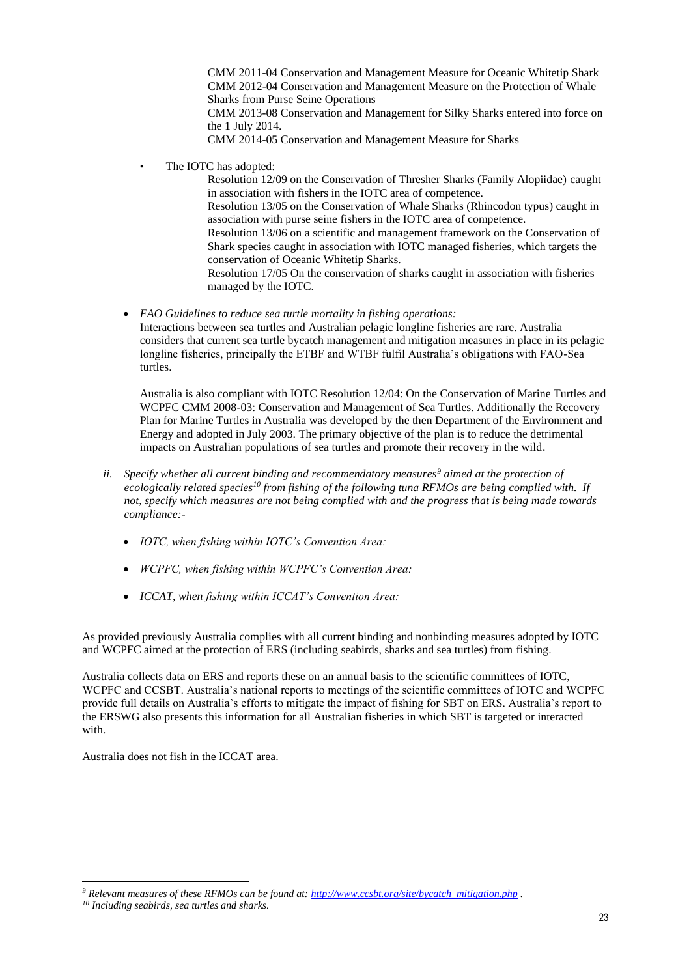CMM 2011-04 Conservation and Management Measure for Oceanic Whitetip Shark CMM 2012-04 Conservation and Management Measure on the Protection of Whale Sharks from Purse Seine Operations CMM 2013-08 Conservation and Management for Silky Sharks entered into force on the 1 July 2014. CMM 2014-05 Conservation and Management Measure for Sharks

The IOTC has adopted:

Resolution 12/09 on the Conservation of Thresher Sharks (Family Alopiidae) caught in association with fishers in the IOTC area of competence. Resolution 13/05 on the Conservation of Whale Sharks (Rhincodon typus) caught in association with purse seine fishers in the IOTC area of competence. Resolution 13/06 on a scientific and management framework on the Conservation of Shark species caught in association with IOTC managed fisheries, which targets the conservation of Oceanic Whitetip Sharks. Resolution 17/05 On the conservation of sharks caught in association with fisheries managed by the IOTC.

• *FAO Guidelines to reduce sea turtle mortality in fishing operations:* Interactions between sea turtles and Australian pelagic longline fisheries are rare. Australia considers that current sea turtle bycatch management and mitigation measures in place in its pelagic longline fisheries, principally the ETBF and WTBF fulfil Australia's obligations with FAO-Sea turtles.

Australia is also compliant with IOTC Resolution 12/04: On the Conservation of Marine Turtles and WCPFC CMM 2008-03: Conservation and Management of Sea Turtles. Additionally the Recovery Plan for Marine Turtles in Australia was developed by the then Department of the Environment and Energy and adopted in July 2003. The primary objective of the plan is to reduce the detrimental impacts on Australian populations of sea turtles and promote their recovery in the wild.

- *ii. Specify whether all current binding and recommendatory measures<sup>9</sup> aimed at the protection of ecologically related species<sup>10</sup> from fishing of the following tuna RFMOs are being complied with. If not, specify which measures are not being complied with and the progress that is being made towards compliance:-*
	- *IOTC, when fishing within IOTC's Convention Area:*
	- *WCPFC, when fishing within WCPFC's Convention Area:*
	- *ICCAT, when fishing within ICCAT's Convention Area:*

As provided previously Australia complies with all current binding and nonbinding measures adopted by IOTC and WCPFC aimed at the protection of ERS (including seabirds, sharks and sea turtles) from fishing.

Australia collects data on ERS and reports these on an annual basis to the scientific committees of IOTC, WCPFC and CCSBT. Australia's national reports to meetings of the scientific committees of IOTC and WCPFC provide full details on Australia's efforts to mitigate the impact of fishing for SBT on ERS. Australia's report to the ERSWG also presents this information for all Australian fisheries in which SBT is targeted or interacted with.

Australia does not fish in the ICCAT area.

*<sup>9</sup> Relevant measures of these RFMOs can be found at: [http://www.ccsbt.org/site/bycatch\\_mitigation.php](http://www.ccsbt.org/site/bycatch_mitigation.php) .*

*<sup>10</sup> Including seabirds, sea turtles and sharks.*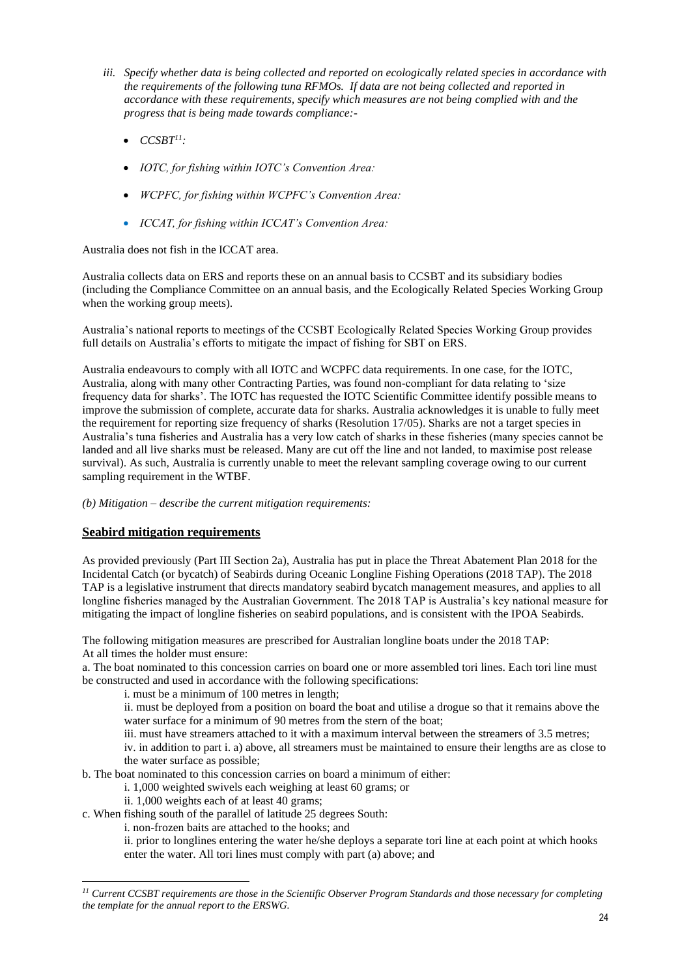- *iii. Specify whether data is being collected and reported on ecologically related species in accordance with the requirements of the following tuna RFMOs. If data are not being collected and reported in accordance with these requirements, specify which measures are not being complied with and the progress that is being made towards compliance:-*
	- $\bullet$  *CCSBT<sup>11</sup>*:
	- *IOTC, for fishing within IOTC's Convention Area:*
	- *WCPFC, for fishing within WCPFC's Convention Area:*
	- *ICCAT, for fishing within ICCAT's Convention Area:*

Australia does not fish in the ICCAT area.

Australia collects data on ERS and reports these on an annual basis to CCSBT and its subsidiary bodies (including the Compliance Committee on an annual basis, and the Ecologically Related Species Working Group when the working group meets).

Australia's national reports to meetings of the CCSBT Ecologically Related Species Working Group provides full details on Australia's efforts to mitigate the impact of fishing for SBT on ERS.

Australia endeavours to comply with all IOTC and WCPFC data requirements. In one case, for the IOTC, Australia, along with many other Contracting Parties, was found non-compliant for data relating to 'size frequency data for sharks'. The IOTC has requested the IOTC Scientific Committee identify possible means to improve the submission of complete, accurate data for sharks. Australia acknowledges it is unable to fully meet the requirement for reporting size frequency of sharks (Resolution 17/05). Sharks are not a target species in Australia's tuna fisheries and Australia has a very low catch of sharks in these fisheries (many species cannot be landed and all live sharks must be released. Many are cut off the line and not landed, to maximise post release survival). As such, Australia is currently unable to meet the relevant sampling coverage owing to our current sampling requirement in the WTBF.

*(b) Mitigation – describe the current mitigation requirements:*

#### **Seabird mitigation requirements**

As provided previously (Part III Section 2a), Australia has put in place the Threat Abatement Plan 2018 for the Incidental Catch (or bycatch) of Seabirds during Oceanic Longline Fishing Operations (2018 TAP). The 2018 TAP is a legislative instrument that directs mandatory seabird bycatch management measures, and applies to all longline fisheries managed by the Australian Government. The 2018 TAP is Australia's key national measure for mitigating the impact of longline fisheries on seabird populations, and is consistent with the IPOA Seabirds.

The following mitigation measures are prescribed for Australian longline boats under the 2018 TAP: At all times the holder must ensure:

a. The boat nominated to this concession carries on board one or more assembled tori lines. Each tori line must be constructed and used in accordance with the following specifications:

i. must be a minimum of 100 metres in length;

ii. must be deployed from a position on board the boat and utilise a drogue so that it remains above the water surface for a minimum of 90 metres from the stern of the boat:

iii. must have streamers attached to it with a maximum interval between the streamers of 3.5 metres;

iv. in addition to part i. a) above, all streamers must be maintained to ensure their lengths are as close to the water surface as possible;

b. The boat nominated to this concession carries on board a minimum of either:

- i. 1,000 weighted swivels each weighing at least 60 grams; or
	- ii. 1,000 weights each of at least 40 grams;
- c. When fishing south of the parallel of latitude 25 degrees South:
	- i. non-frozen baits are attached to the hooks; and

ii. prior to longlines entering the water he/she deploys a separate tori line at each point at which hooks enter the water. All tori lines must comply with part (a) above; and

*<sup>11</sup> Current CCSBT requirements are those in the Scientific Observer Program Standards and those necessary for completing the template for the annual report to the ERSWG.*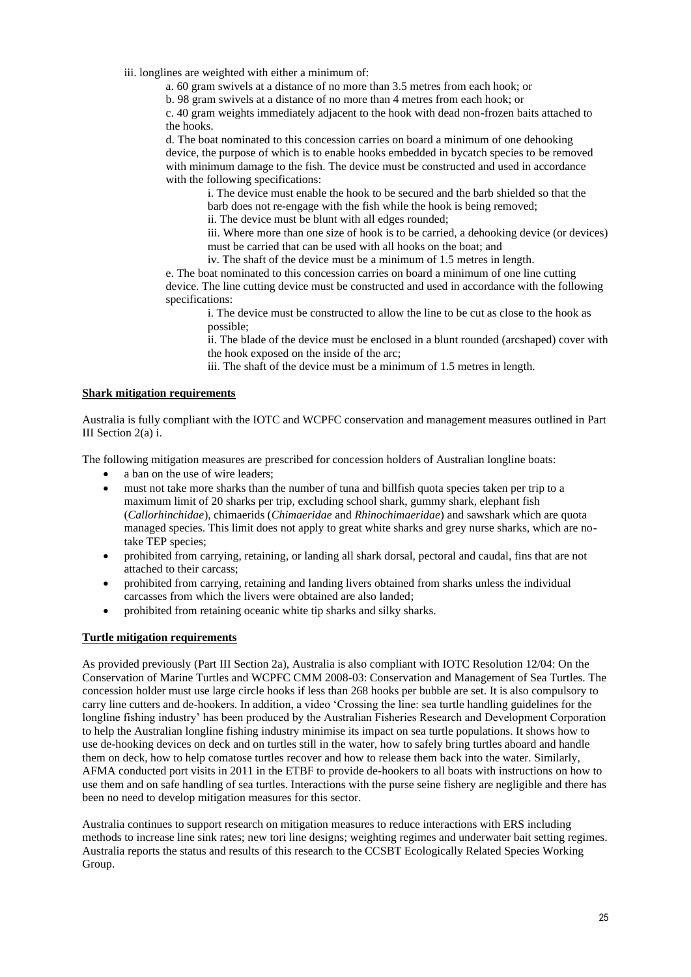iii. longlines are weighted with either a minimum of:

a. 60 gram swivels at a distance of no more than 3.5 metres from each hook; or

b. 98 gram swivels at a distance of no more than 4 metres from each hook; or

c. 40 gram weights immediately adjacent to the hook with dead non-frozen baits attached to the hooks.

d. The boat nominated to this concession carries on board a minimum of one dehooking device, the purpose of which is to enable hooks embedded in bycatch species to be removed with minimum damage to the fish. The device must be constructed and used in accordance with the following specifications:

i. The device must enable the hook to be secured and the barb shielded so that the barb does not re-engage with the fish while the hook is being removed;

ii. The device must be blunt with all edges rounded;

iii. Where more than one size of hook is to be carried, a dehooking device (or devices) must be carried that can be used with all hooks on the boat; and

iv. The shaft of the device must be a minimum of 1.5 metres in length.

e. The boat nominated to this concession carries on board a minimum of one line cutting device. The line cutting device must be constructed and used in accordance with the following specifications:

i. The device must be constructed to allow the line to be cut as close to the hook as possible;

ii. The blade of the device must be enclosed in a blunt rounded (arcshaped) cover with the hook exposed on the inside of the arc;

iii. The shaft of the device must be a minimum of 1.5 metres in length.

#### **Shark mitigation requirements**

Australia is fully compliant with the IOTC and WCPFC conservation and management measures outlined in Part III Section 2(a) i.

The following mitigation measures are prescribed for concession holders of Australian longline boats:

- a ban on the use of wire leaders;
- must not take more sharks than the number of tuna and billfish quota species taken per trip to a maximum limit of 20 sharks per trip, excluding school shark, gummy shark, elephant fish (*Callorhinchidae*), chimaerids (*Chimaeridae* and *Rhinochimaeridae*) and sawshark which are quota managed species. This limit does not apply to great white sharks and grey nurse sharks, which are notake TEP species;
- prohibited from carrying, retaining, or landing all shark dorsal, pectoral and caudal, fins that are not attached to their carcass;
- prohibited from carrying, retaining and landing livers obtained from sharks unless the individual carcasses from which the livers were obtained are also landed;
- prohibited from retaining oceanic white tip sharks and silky sharks.

#### **Turtle mitigation requirements**

As provided previously (Part III Section 2a), Australia is also compliant with IOTC Resolution 12/04: On the Conservation of Marine Turtles and WCPFC CMM 2008-03: Conservation and Management of Sea Turtles. The concession holder must use large circle hooks if less than 268 hooks per bubble are set. It is also compulsory to carry line cutters and de-hookers. In addition, a video 'Crossing the line: sea turtle handling guidelines for the longline fishing industry' has been produced by the Australian Fisheries Research and Development Corporation to help the Australian longline fishing industry minimise its impact on sea turtle populations. It shows how to use de-hooking devices on deck and on turtles still in the water, how to safely bring turtles aboard and handle them on deck, how to help comatose turtles recover and how to release them back into the water. Similarly, AFMA conducted port visits in 2011 in the ETBF to provide de-hookers to all boats with instructions on how to use them and on safe handling of sea turtles. Interactions with the purse seine fishery are negligible and there has been no need to develop mitigation measures for this sector.

Australia continues to support research on mitigation measures to reduce interactions with ERS including methods to increase line sink rates; new tori line designs; weighting regimes and underwater bait setting regimes. Australia reports the status and results of this research to the CCSBT Ecologically Related Species Working Group.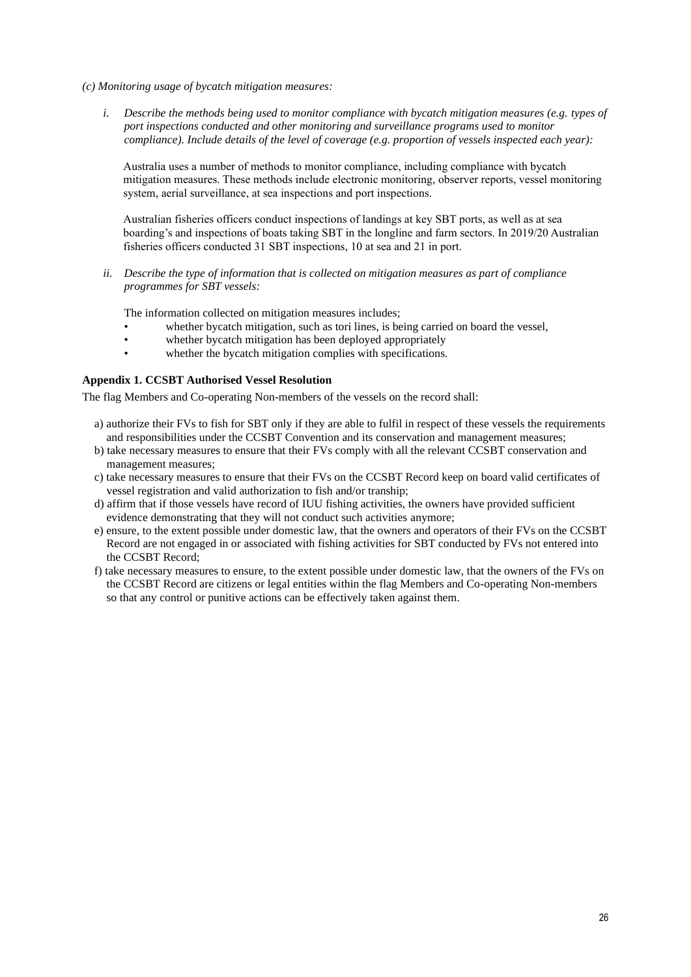- *(c) Monitoring usage of bycatch mitigation measures:*
	- *i. Describe the methods being used to monitor compliance with bycatch mitigation measures (e.g. types of port inspections conducted and other monitoring and surveillance programs used to monitor compliance). Include details of the level of coverage (e.g. proportion of vessels inspected each year):*

Australia uses a number of methods to monitor compliance, including compliance with bycatch mitigation measures. These methods include electronic monitoring, observer reports, vessel monitoring system, aerial surveillance, at sea inspections and port inspections.

Australian fisheries officers conduct inspections of landings at key SBT ports, as well as at sea boarding's and inspections of boats taking SBT in the longline and farm sectors. In 2019/20 Australian fisheries officers conducted 31 SBT inspections, 10 at sea and 21 in port.

*ii. Describe the type of information that is collected on mitigation measures as part of compliance programmes for SBT vessels:*

The information collected on mitigation measures includes;

- whether bycatch mitigation, such as tori lines, is being carried on board the vessel,
- whether bycatch mitigation has been deployed appropriately
- whether the bycatch mitigation complies with specifications.

#### **Appendix 1. CCSBT Authorised Vessel Resolution**

The flag Members and Co-operating Non-members of the vessels on the record shall:

- a) authorize their FVs to fish for SBT only if they are able to fulfil in respect of these vessels the requirements and responsibilities under the CCSBT Convention and its conservation and management measures;
- b) take necessary measures to ensure that their FVs comply with all the relevant CCSBT conservation and management measures;
- c) take necessary measures to ensure that their FVs on the CCSBT Record keep on board valid certificates of vessel registration and valid authorization to fish and/or tranship;
- d) affirm that if those vessels have record of IUU fishing activities, the owners have provided sufficient evidence demonstrating that they will not conduct such activities anymore;
- e) ensure, to the extent possible under domestic law, that the owners and operators of their FVs on the CCSBT Record are not engaged in or associated with fishing activities for SBT conducted by FVs not entered into the CCSBT Record;
- f) take necessary measures to ensure, to the extent possible under domestic law, that the owners of the FVs on the CCSBT Record are citizens or legal entities within the flag Members and Co-operating Non-members so that any control or punitive actions can be effectively taken against them.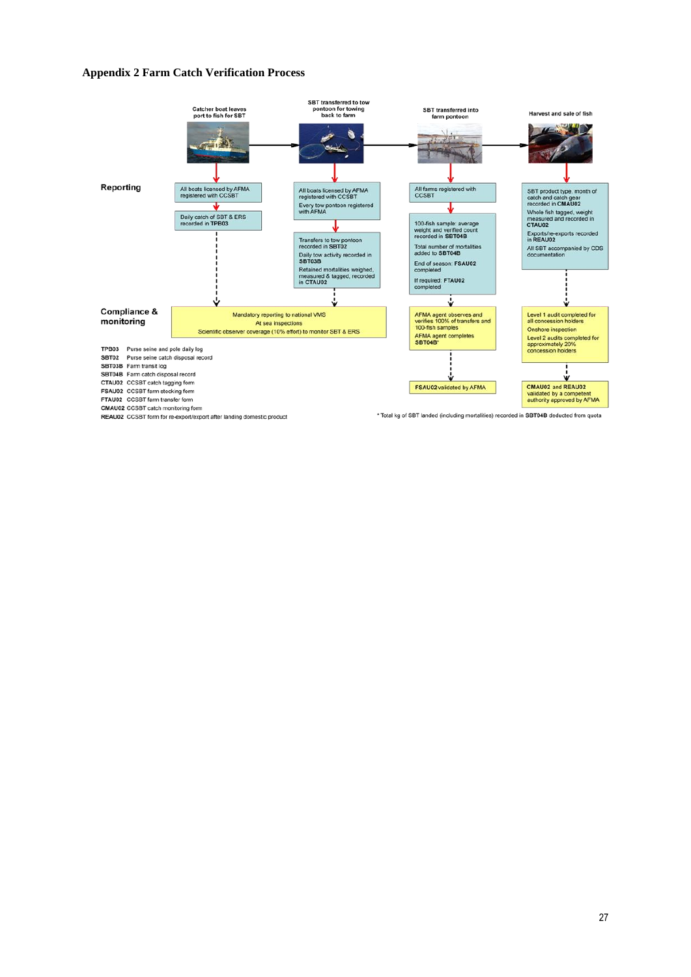#### **Appendix 2 Farm Catch Verification Process**